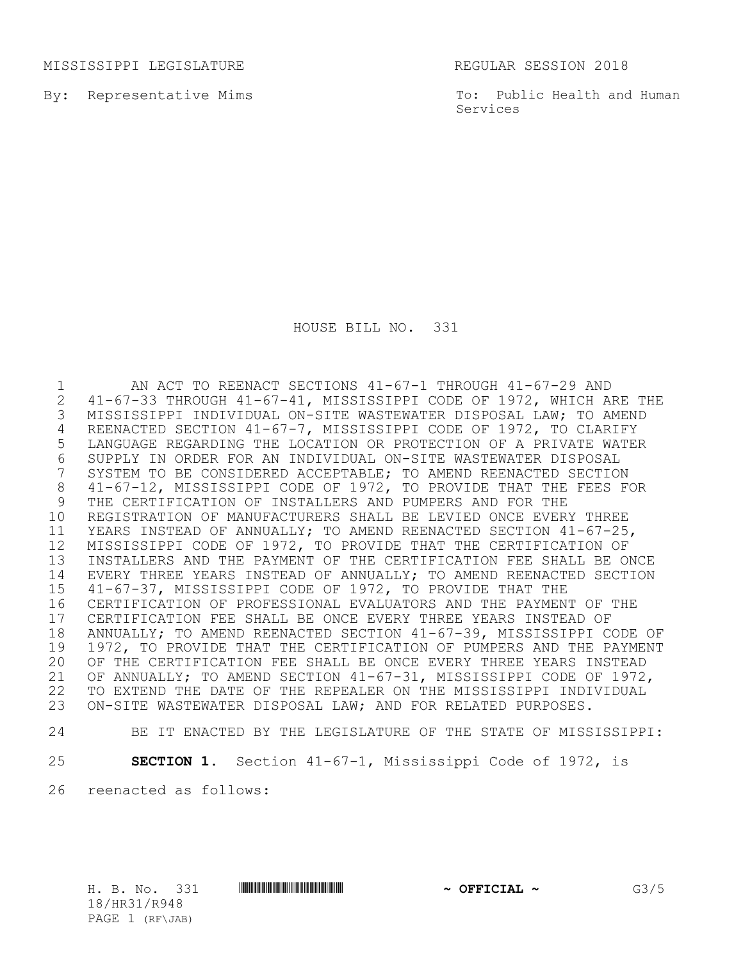MISSISSIPPI LEGISLATURE **REGULAR SESSION 2018** 

By: Representative Mims

To: Public Health and Human Services

HOUSE BILL NO. 331

1 MI ACT TO REENACT SECTIONS 41-67-1 THROUGH 41-67-29 AND<br>2 41-67-33 THROUGH 41-67-41, MISSISSIPPI CODE OF 1972, WHICH AP 2 41-67-33 THROUGH 41-67-41, MISSISSIPPI CODE OF 1972, WHICH ARE THE<br>3 MISSISSIPPI INDIVIDUAL ON-SITE WASTEWATER DISPOSAL LAW; TO AMEND MISSISSIPPI INDIVIDUAL ON-SITE WASTEWATER DISPOSAL LAW; TO AMEND REENACTED SECTION 41-67-7, MISSISSIPPI CODE OF 1972, TO CLARIFY LANGUAGE REGARDING THE LOCATION OR PROTECTION OF A PRIVATE WATER SUPPLY IN ORDER FOR AN INDIVIDUAL ON-SITE WASTEWATER DISPOSAL SYSTEM TO BE CONSIDERED ACCEPTABLE; TO AMEND REENACTED SECTION 41-67-12, MISSISSIPPI CODE OF 1972, TO PROVIDE THAT THE FEES FOR THE CERTIFICATION OF INSTALLERS AND PUMPERS AND FOR THE REGISTRATION OF MANUFACTURERS SHALL BE LEVIED ONCE EVERY THREE YEARS INSTEAD OF ANNUALLY; TO AMEND REENACTED SECTION 41-67-25, MISSISSIPPI CODE OF 1972, TO PROVIDE THAT THE CERTIFICATION OF INSTALLERS AND THE PAYMENT OF THE CERTIFICATION FEE SHALL BE ONCE EVERY THREE YEARS INSTEAD OF ANNUALLY; TO AMEND REENACTED SECTION 41-67-37, MISSISSIPPI CODE OF 1972, TO PROVIDE THAT THE CERTIFICATION OF PROFESSIONAL EVALUATORS AND THE PAYMENT OF THE 17 CERTIFICATION FEE SHALL BE ONCE EVERY THREE YEARS INSTEAD OF<br>18 ANNUALLY: TO AMEND REENACTED SECTION 41-67-39. MISSISSIPPI CO 18 ANNUALLY; TO AMEND REENACTED SECTION 41-67-39, MISSISSIPPI CODE OF<br>19 1972, TO PROVIDE THAT THE CERTIFICATION OF PUMPERS AND THE PAYMENT 1972, TO PROVIDE THAT THE CERTIFICATION OF PUMPERS AND THE PAYMENT OF THE CERTIFICATION FEE SHALL BE ONCE EVERY THREE YEARS INSTEAD OF ANNUALLY; TO AMEND SECTION 41-67-31, MISSISSIPPI CODE OF 1972, TO EXTEND THE DATE OF THE REPEALER ON THE MISSISSIPPI INDIVIDUAL ON-SITE WASTEWATER DISPOSAL LAW; AND FOR RELATED PURPOSES.

## BE IT ENACTED BY THE LEGISLATURE OF THE STATE OF MISSISSIPPI:

**SECTION 1.** Section 41-67-1, Mississippi Code of 1972, is

reenacted as follows:

18/HR31/R948 PAGE 1 (RF\JAB)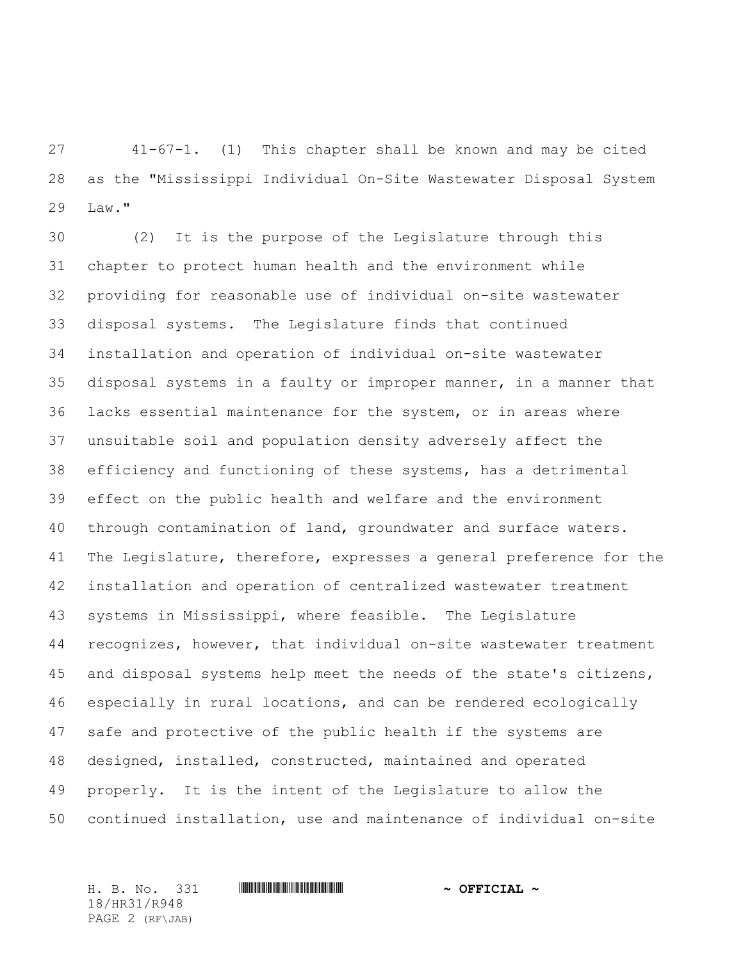41-67-1. (1) This chapter shall be known and may be cited as the "Mississippi Individual On-Site Wastewater Disposal System Law."

 (2) It is the purpose of the Legislature through this chapter to protect human health and the environment while providing for reasonable use of individual on-site wastewater disposal systems. The Legislature finds that continued installation and operation of individual on-site wastewater disposal systems in a faulty or improper manner, in a manner that lacks essential maintenance for the system, or in areas where unsuitable soil and population density adversely affect the efficiency and functioning of these systems, has a detrimental effect on the public health and welfare and the environment through contamination of land, groundwater and surface waters. The Legislature, therefore, expresses a general preference for the installation and operation of centralized wastewater treatment systems in Mississippi, where feasible. The Legislature recognizes, however, that individual on-site wastewater treatment and disposal systems help meet the needs of the state's citizens, especially in rural locations, and can be rendered ecologically safe and protective of the public health if the systems are designed, installed, constructed, maintained and operated properly. It is the intent of the Legislature to allow the continued installation, use and maintenance of individual on-site

18/HR31/R948 PAGE 2 (RF\JAB)

H. B. No. 331 \*HR31/R948\* **~ OFFICIAL ~**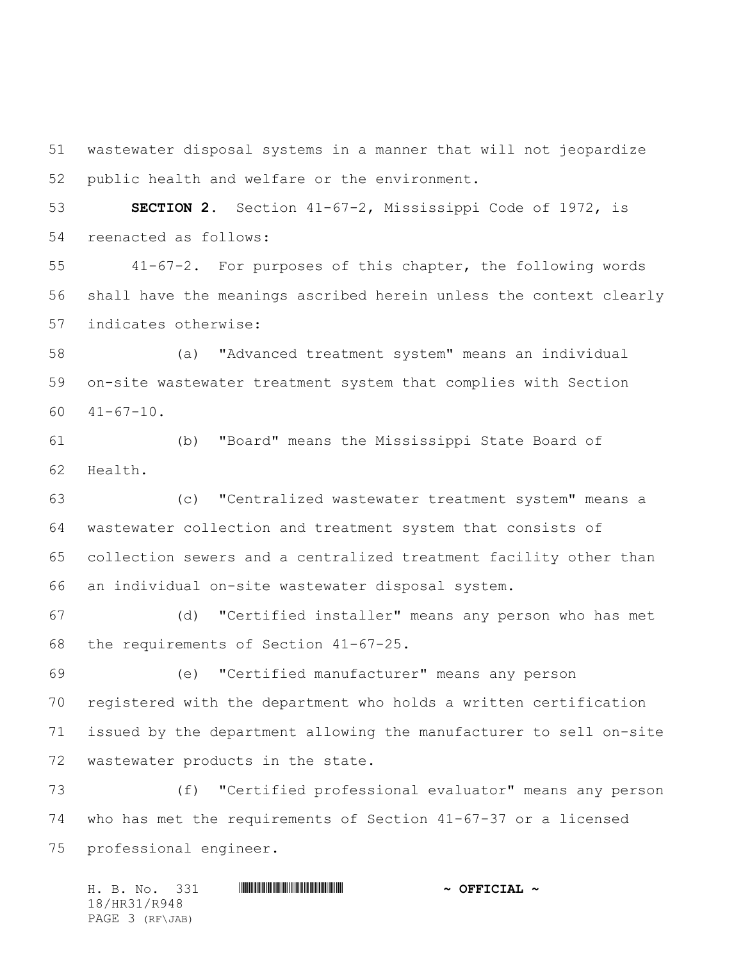wastewater disposal systems in a manner that will not jeopardize public health and welfare or the environment.

 **SECTION 2.** Section 41-67-2, Mississippi Code of 1972, is reenacted as follows:

 41-67-2. For purposes of this chapter, the following words shall have the meanings ascribed herein unless the context clearly indicates otherwise:

 (a) "Advanced treatment system" means an individual on-site wastewater treatment system that complies with Section 41-67-10.

 (b) "Board" means the Mississippi State Board of Health.

 (c) "Centralized wastewater treatment system" means a wastewater collection and treatment system that consists of collection sewers and a centralized treatment facility other than an individual on-site wastewater disposal system.

 (d) "Certified installer" means any person who has met the requirements of Section 41-67-25.

 (e) "Certified manufacturer" means any person registered with the department who holds a written certification issued by the department allowing the manufacturer to sell on-site wastewater products in the state.

 (f) "Certified professional evaluator" means any person who has met the requirements of Section 41-67-37 or a licensed professional engineer.

H. B. No. 331 \*HR31/R948\* **~ OFFICIAL ~** 18/HR31/R948 PAGE 3 (RF\JAB)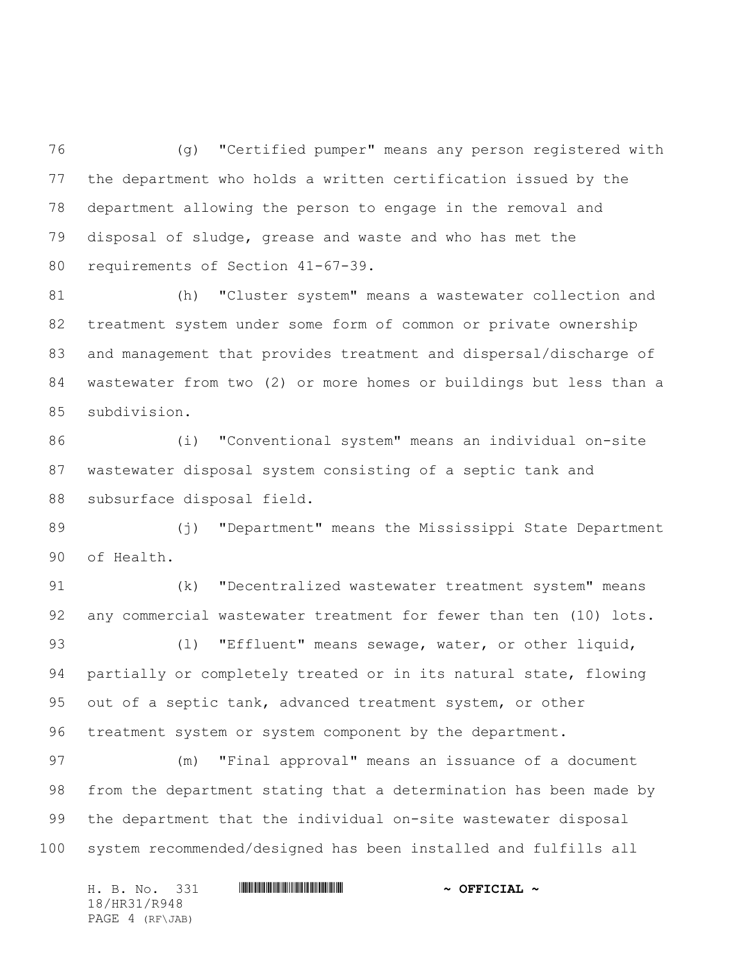(g) "Certified pumper" means any person registered with the department who holds a written certification issued by the department allowing the person to engage in the removal and disposal of sludge, grease and waste and who has met the requirements of Section 41-67-39.

 (h) "Cluster system" means a wastewater collection and treatment system under some form of common or private ownership and management that provides treatment and dispersal/discharge of wastewater from two (2) or more homes or buildings but less than a subdivision.

 (i) "Conventional system" means an individual on-site wastewater disposal system consisting of a septic tank and subsurface disposal field.

 (j) "Department" means the Mississippi State Department of Health.

 (k) "Decentralized wastewater treatment system" means any commercial wastewater treatment for fewer than ten (10) lots. 93 (1) "Effluent" means sewage, water, or other liquid, partially or completely treated or in its natural state, flowing out of a septic tank, advanced treatment system, or other treatment system or system component by the department.

 (m) "Final approval" means an issuance of a document from the department stating that a determination has been made by the department that the individual on-site wastewater disposal system recommended/designed has been installed and fulfills all

| H. B. No. 331   |  | $\sim$ OFFICIAL $\sim$ |
|-----------------|--|------------------------|
| 18/HR31/R948    |  |                        |
| PAGE 4 (RF\JAB) |  |                        |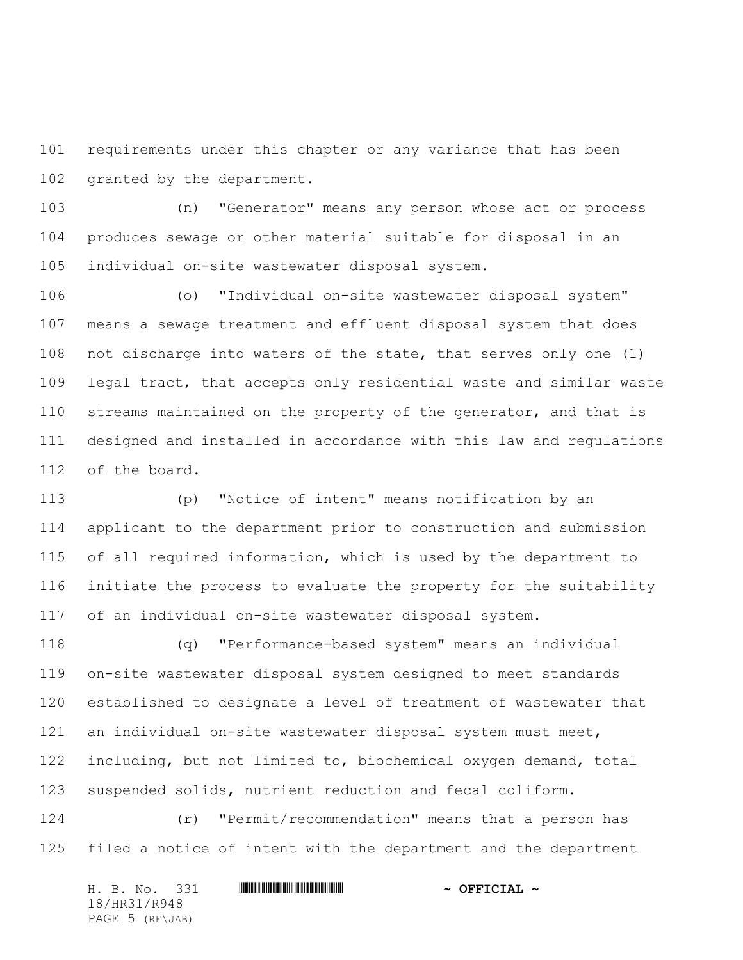requirements under this chapter or any variance that has been granted by the department.

 (n) "Generator" means any person whose act or process produces sewage or other material suitable for disposal in an individual on-site wastewater disposal system.

 (o) "Individual on-site wastewater disposal system" means a sewage treatment and effluent disposal system that does not discharge into waters of the state, that serves only one (1) legal tract, that accepts only residential waste and similar waste streams maintained on the property of the generator, and that is designed and installed in accordance with this law and regulations of the board.

 (p) "Notice of intent" means notification by an applicant to the department prior to construction and submission of all required information, which is used by the department to initiate the process to evaluate the property for the suitability of an individual on-site wastewater disposal system.

 (q) "Performance-based system" means an individual on-site wastewater disposal system designed to meet standards established to designate a level of treatment of wastewater that an individual on-site wastewater disposal system must meet, including, but not limited to, biochemical oxygen demand, total suspended solids, nutrient reduction and fecal coliform.

 (r) "Permit/recommendation" means that a person has filed a notice of intent with the department and the department

|  | H. B. No. 331   |  | $\sim$ OFFICIAL $\sim$ |
|--|-----------------|--|------------------------|
|  | 18/HR31/R948    |  |                        |
|  | PAGE 5 (RF\JAB) |  |                        |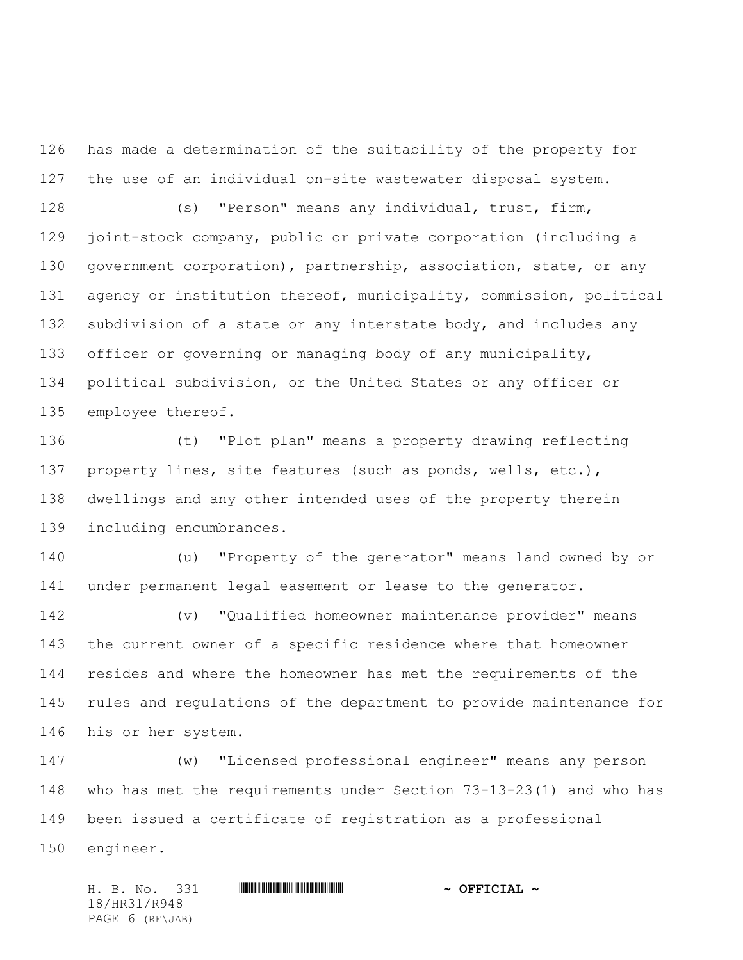has made a determination of the suitability of the property for the use of an individual on-site wastewater disposal system.

 (s) "Person" means any individual, trust, firm, joint-stock company, public or private corporation (including a government corporation), partnership, association, state, or any agency or institution thereof, municipality, commission, political 132 subdivision of a state or any interstate body, and includes any officer or governing or managing body of any municipality, political subdivision, or the United States or any officer or employee thereof.

 (t) "Plot plan" means a property drawing reflecting property lines, site features (such as ponds, wells, etc.), dwellings and any other intended uses of the property therein including encumbrances.

 (u) "Property of the generator" means land owned by or under permanent legal easement or lease to the generator.

 (v) "Qualified homeowner maintenance provider" means the current owner of a specific residence where that homeowner resides and where the homeowner has met the requirements of the rules and regulations of the department to provide maintenance for his or her system.

 (w) "Licensed professional engineer" means any person who has met the requirements under Section 73-13-23(1) and who has been issued a certificate of registration as a professional engineer.

H. B. No. 331 \*HR31/R948\* **~ OFFICIAL ~** 18/HR31/R948 PAGE 6 (RF\JAB)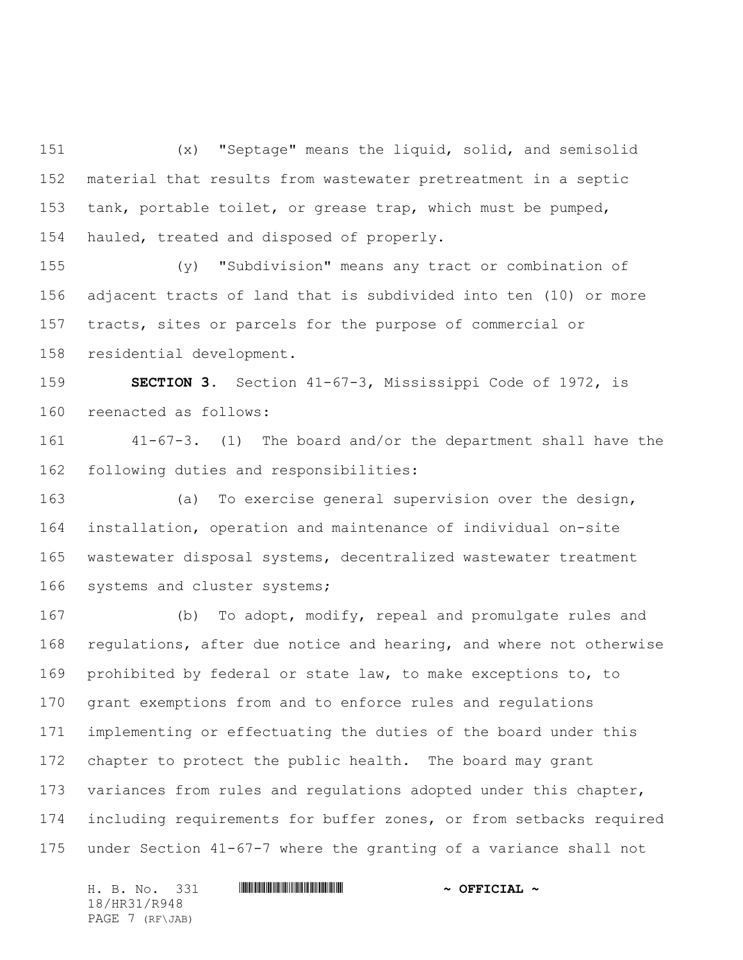(x) "Septage" means the liquid, solid, and semisolid material that results from wastewater pretreatment in a septic tank, portable toilet, or grease trap, which must be pumped, hauled, treated and disposed of properly.

 (y) "Subdivision" means any tract or combination of adjacent tracts of land that is subdivided into ten (10) or more tracts, sites or parcels for the purpose of commercial or residential development.

 **SECTION 3.** Section 41-67-3, Mississippi Code of 1972, is reenacted as follows:

 41-67-3. (1) The board and/or the department shall have the following duties and responsibilities:

 (a) To exercise general supervision over the design, installation, operation and maintenance of individual on-site wastewater disposal systems, decentralized wastewater treatment systems and cluster systems;

 (b) To adopt, modify, repeal and promulgate rules and regulations, after due notice and hearing, and where not otherwise prohibited by federal or state law, to make exceptions to, to grant exemptions from and to enforce rules and regulations implementing or effectuating the duties of the board under this chapter to protect the public health. The board may grant variances from rules and regulations adopted under this chapter, including requirements for buffer zones, or from setbacks required under Section 41-67-7 where the granting of a variance shall not

H. B. No. 331 **. HRANGE REAL AND A SECONDER AND A OFFICIAL ~** 18/HR31/R948 PAGE 7 (RF\JAB)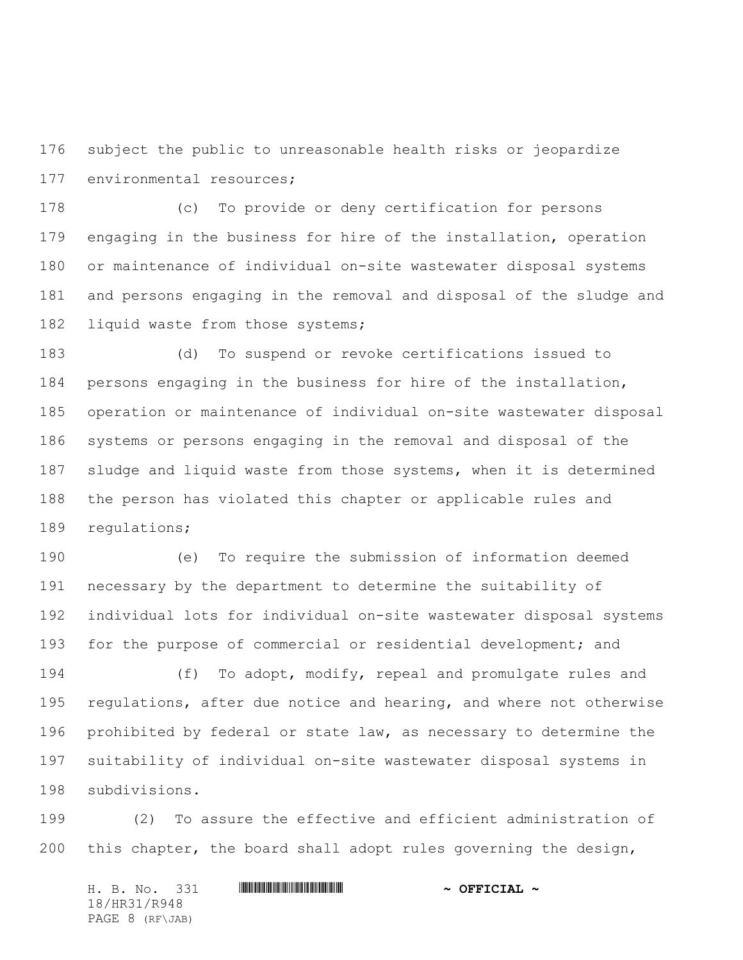subject the public to unreasonable health risks or jeopardize environmental resources;

 (c) To provide or deny certification for persons engaging in the business for hire of the installation, operation or maintenance of individual on-site wastewater disposal systems and persons engaging in the removal and disposal of the sludge and 182 liquid waste from those systems;

 (d) To suspend or revoke certifications issued to persons engaging in the business for hire of the installation, operation or maintenance of individual on-site wastewater disposal systems or persons engaging in the removal and disposal of the 187 sludge and liquid waste from those systems, when it is determined the person has violated this chapter or applicable rules and regulations;

 (e) To require the submission of information deemed necessary by the department to determine the suitability of individual lots for individual on-site wastewater disposal systems 193 for the purpose of commercial or residential development; and

 (f) To adopt, modify, repeal and promulgate rules and regulations, after due notice and hearing, and where not otherwise prohibited by federal or state law, as necessary to determine the suitability of individual on-site wastewater disposal systems in subdivisions.

 (2) To assure the effective and efficient administration of this chapter, the board shall adopt rules governing the design,

H. B. No. 331 **HRANGE READERS AND A SECONDLY** 18/HR31/R948 PAGE 8 (RF\JAB)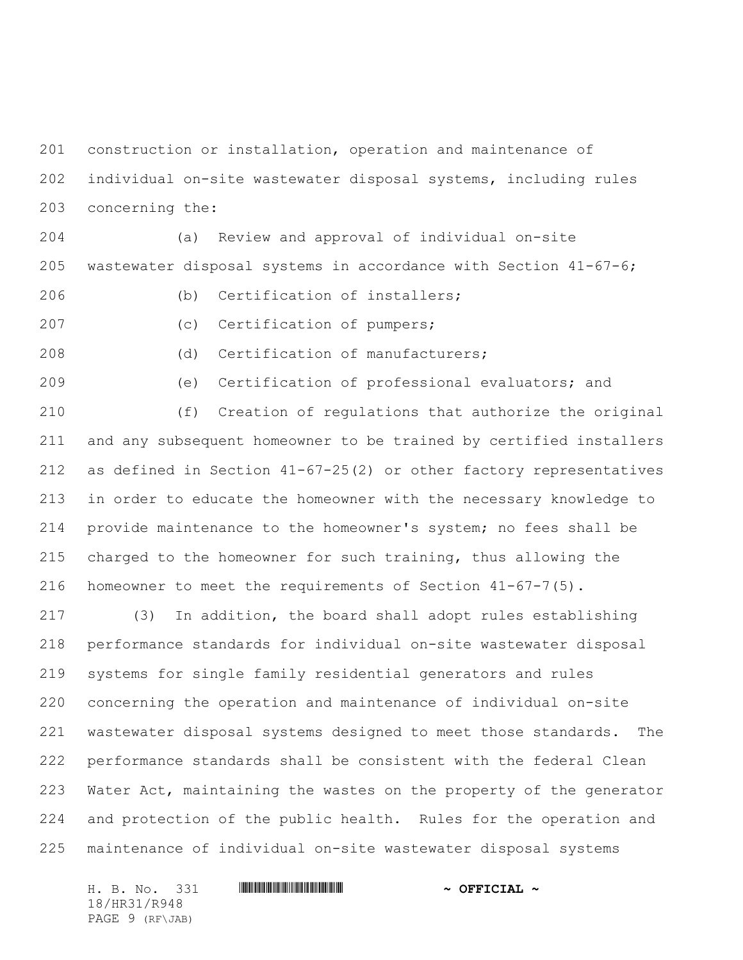construction or installation, operation and maintenance of individual on-site wastewater disposal systems, including rules concerning the:

 (a) Review and approval of individual on-site wastewater disposal systems in accordance with Section 41-67-6;

- (b) Certification of installers;
- 

(c) Certification of pumpers;

(d) Certification of manufacturers;

(e) Certification of professional evaluators; and

 (f) Creation of regulations that authorize the original and any subsequent homeowner to be trained by certified installers as defined in Section 41-67-25(2) or other factory representatives in order to educate the homeowner with the necessary knowledge to provide maintenance to the homeowner's system; no fees shall be charged to the homeowner for such training, thus allowing the homeowner to meet the requirements of Section 41-67-7(5).

 (3) In addition, the board shall adopt rules establishing performance standards for individual on-site wastewater disposal systems for single family residential generators and rules concerning the operation and maintenance of individual on-site wastewater disposal systems designed to meet those standards. The performance standards shall be consistent with the federal Clean Water Act, maintaining the wastes on the property of the generator and protection of the public health. Rules for the operation and maintenance of individual on-site wastewater disposal systems

H. B. No. 331 **. HRANGE REAL AND A SECONDER AND A OFFICIAL ~** 18/HR31/R948 PAGE 9 (RF\JAB)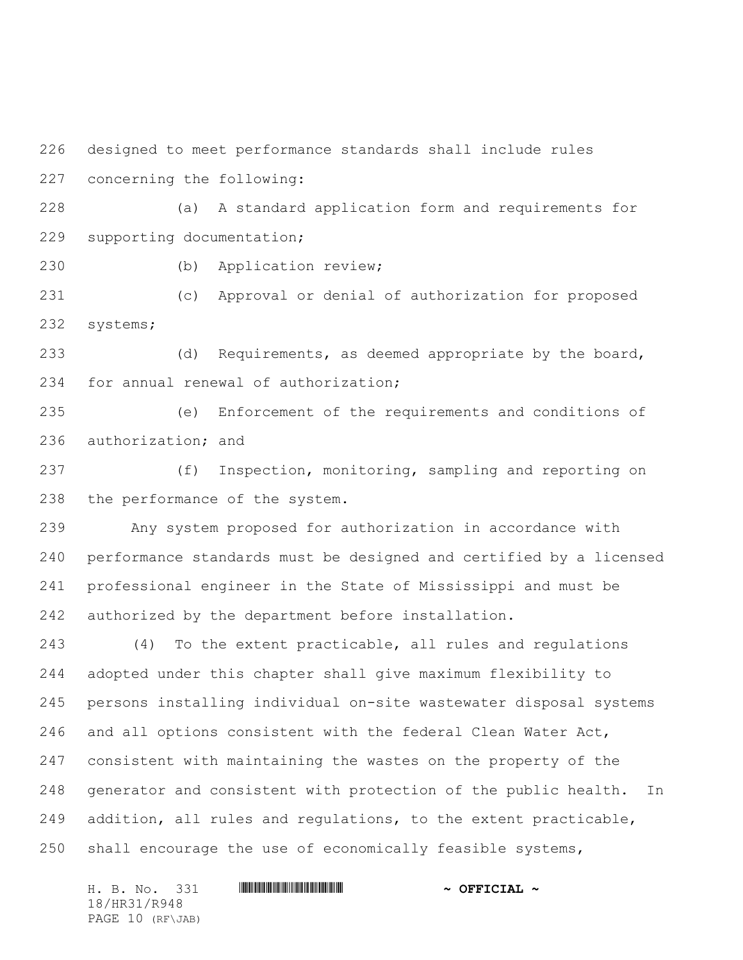designed to meet performance standards shall include rules concerning the following:

 (a) A standard application form and requirements for supporting documentation;

(b) Application review;

 (c) Approval or denial of authorization for proposed systems;

 (d) Requirements, as deemed appropriate by the board, for annual renewal of authorization;

 (e) Enforcement of the requirements and conditions of authorization; and

 (f) Inspection, monitoring, sampling and reporting on the performance of the system.

 Any system proposed for authorization in accordance with performance standards must be designed and certified by a licensed professional engineer in the State of Mississippi and must be authorized by the department before installation.

 (4) To the extent practicable, all rules and regulations adopted under this chapter shall give maximum flexibility to persons installing individual on-site wastewater disposal systems and all options consistent with the federal Clean Water Act, consistent with maintaining the wastes on the property of the generator and consistent with protection of the public health. In addition, all rules and regulations, to the extent practicable, 250 shall encourage the use of economically feasible systems,

H. B. No. 331 **HRANGE READERS AND A SECONDLY** 18/HR31/R948 PAGE 10 (RF\JAB)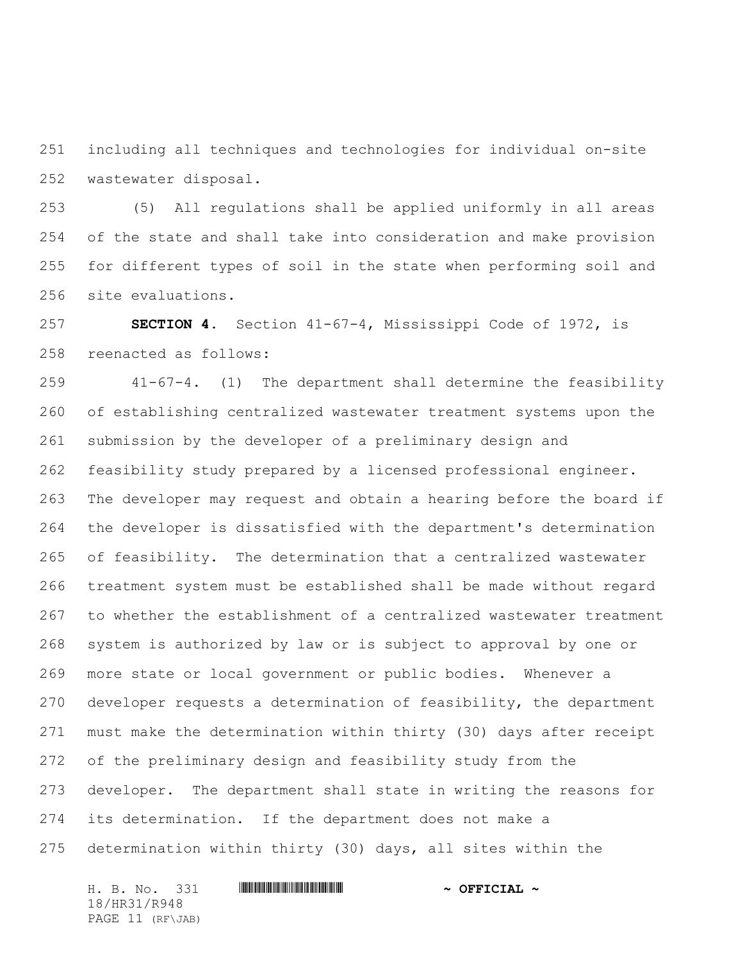including all techniques and technologies for individual on-site wastewater disposal.

 (5) All regulations shall be applied uniformly in all areas of the state and shall take into consideration and make provision for different types of soil in the state when performing soil and site evaluations.

 **SECTION 4.** Section 41-67-4, Mississippi Code of 1972, is reenacted as follows:

 41-67-4. (1) The department shall determine the feasibility of establishing centralized wastewater treatment systems upon the submission by the developer of a preliminary design and feasibility study prepared by a licensed professional engineer. The developer may request and obtain a hearing before the board if the developer is dissatisfied with the department's determination of feasibility. The determination that a centralized wastewater treatment system must be established shall be made without regard to whether the establishment of a centralized wastewater treatment system is authorized by law or is subject to approval by one or more state or local government or public bodies. Whenever a developer requests a determination of feasibility, the department must make the determination within thirty (30) days after receipt of the preliminary design and feasibility study from the developer. The department shall state in writing the reasons for its determination. If the department does not make a determination within thirty (30) days, all sites within the

H. B. No. 331 \*HR31/R948\* **~ OFFICIAL ~** 18/HR31/R948 PAGE 11 (RF\JAB)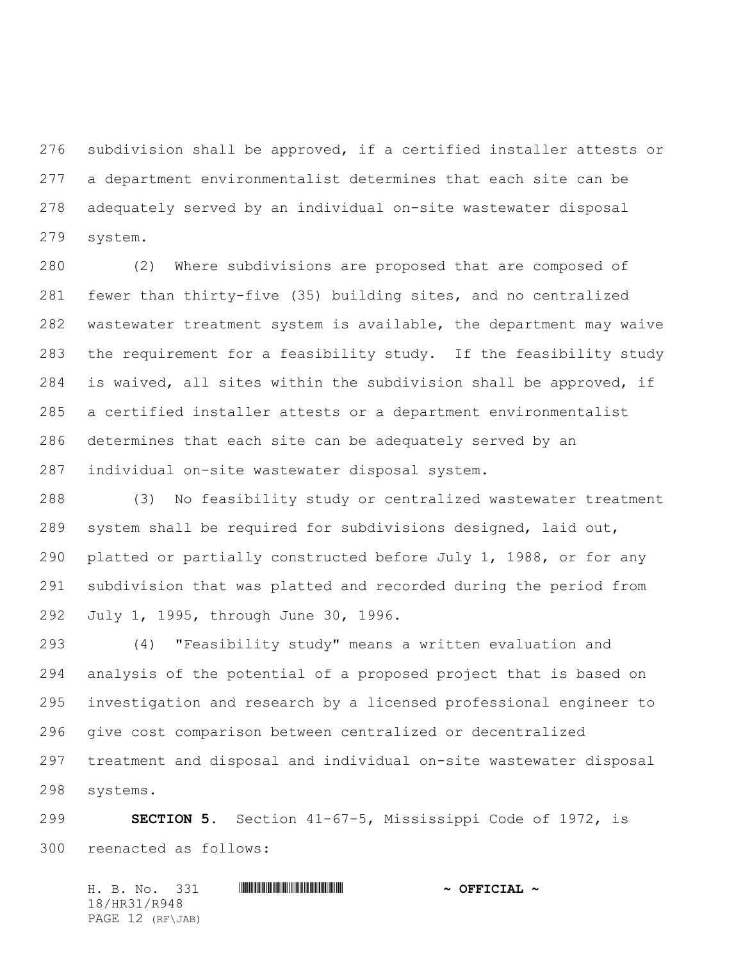subdivision shall be approved, if a certified installer attests or a department environmentalist determines that each site can be adequately served by an individual on-site wastewater disposal system.

 (2) Where subdivisions are proposed that are composed of fewer than thirty-five (35) building sites, and no centralized wastewater treatment system is available, the department may waive the requirement for a feasibility study. If the feasibility study is waived, all sites within the subdivision shall be approved, if a certified installer attests or a department environmentalist determines that each site can be adequately served by an individual on-site wastewater disposal system.

 (3) No feasibility study or centralized wastewater treatment system shall be required for subdivisions designed, laid out, platted or partially constructed before July 1, 1988, or for any subdivision that was platted and recorded during the period from July 1, 1995, through June 30, 1996.

 (4) "Feasibility study" means a written evaluation and analysis of the potential of a proposed project that is based on investigation and research by a licensed professional engineer to give cost comparison between centralized or decentralized treatment and disposal and individual on-site wastewater disposal systems.

 **SECTION 5.** Section 41-67-5, Mississippi Code of 1972, is reenacted as follows:

H. B. No. 331 \*HR31/R948\* **~ OFFICIAL ~** 18/HR31/R948 PAGE 12 (RF\JAB)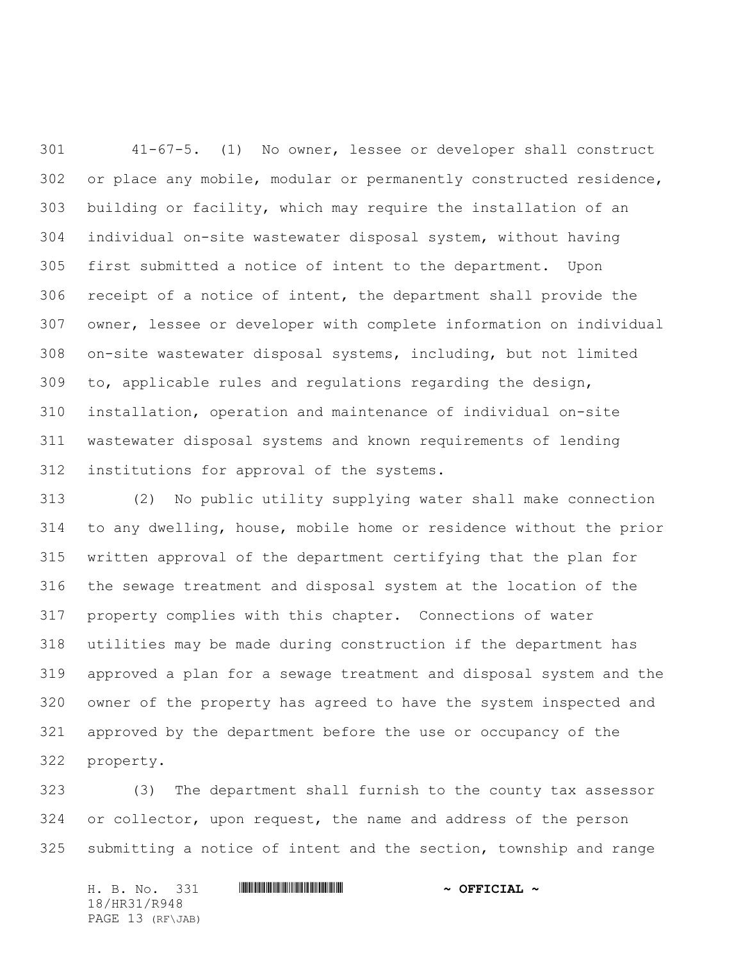41-67-5. (1) No owner, lessee or developer shall construct or place any mobile, modular or permanently constructed residence, building or facility, which may require the installation of an individual on-site wastewater disposal system, without having first submitted a notice of intent to the department. Upon receipt of a notice of intent, the department shall provide the owner, lessee or developer with complete information on individual on-site wastewater disposal systems, including, but not limited to, applicable rules and regulations regarding the design, installation, operation and maintenance of individual on-site wastewater disposal systems and known requirements of lending institutions for approval of the systems.

 (2)No public utility supplying water shall make connection to any dwelling, house, mobile home or residence without the prior written approval of the department certifying that the plan for the sewage treatment and disposal system at the location of the property complies with this chapter. Connections of water utilities may be made during construction if the department has approved a plan for a sewage treatment and disposal system and the owner of the property has agreed to have the system inspected and approved by the department before the use or occupancy of the property.

 (3) The department shall furnish to the county tax assessor or collector, upon request, the name and address of the person submitting a notice of intent and the section, township and range

H. B. No. 331 **HRANGE READERS AND A SECONDLY** 18/HR31/R948 PAGE 13 (RF\JAB)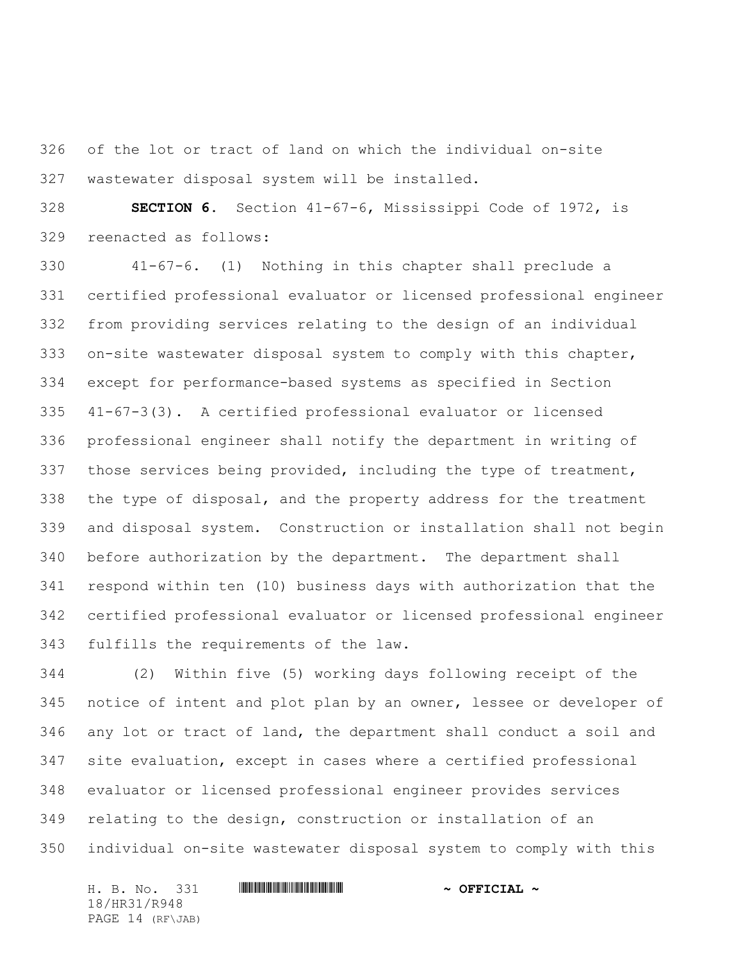of the lot or tract of land on which the individual on-site wastewater disposal system will be installed.

 **SECTION 6.** Section 41-67-6, Mississippi Code of 1972, is reenacted as follows:

 41-67-6. (1) Nothing in this chapter shall preclude a certified professional evaluator or licensed professional engineer from providing services relating to the design of an individual on-site wastewater disposal system to comply with this chapter, except for performance-based systems as specified in Section 41-67-3(3). A certified professional evaluator or licensed professional engineer shall notify the department in writing of those services being provided, including the type of treatment, the type of disposal, and the property address for the treatment and disposal system. Construction or installation shall not begin before authorization by the department. The department shall respond within ten (10) business days with authorization that the certified professional evaluator or licensed professional engineer fulfills the requirements of the law.

 (2) Within five (5) working days following receipt of the notice of intent and plot plan by an owner, lessee or developer of any lot or tract of land, the department shall conduct a soil and site evaluation, except in cases where a certified professional evaluator or licensed professional engineer provides services relating to the design, construction or installation of an individual on-site wastewater disposal system to comply with this

H. B. No. 331 **. AND AND AN ABLE AND AN ABLE AND ADDRESS TO A OFFICIAL ~** 18/HR31/R948 PAGE 14 (RF\JAB)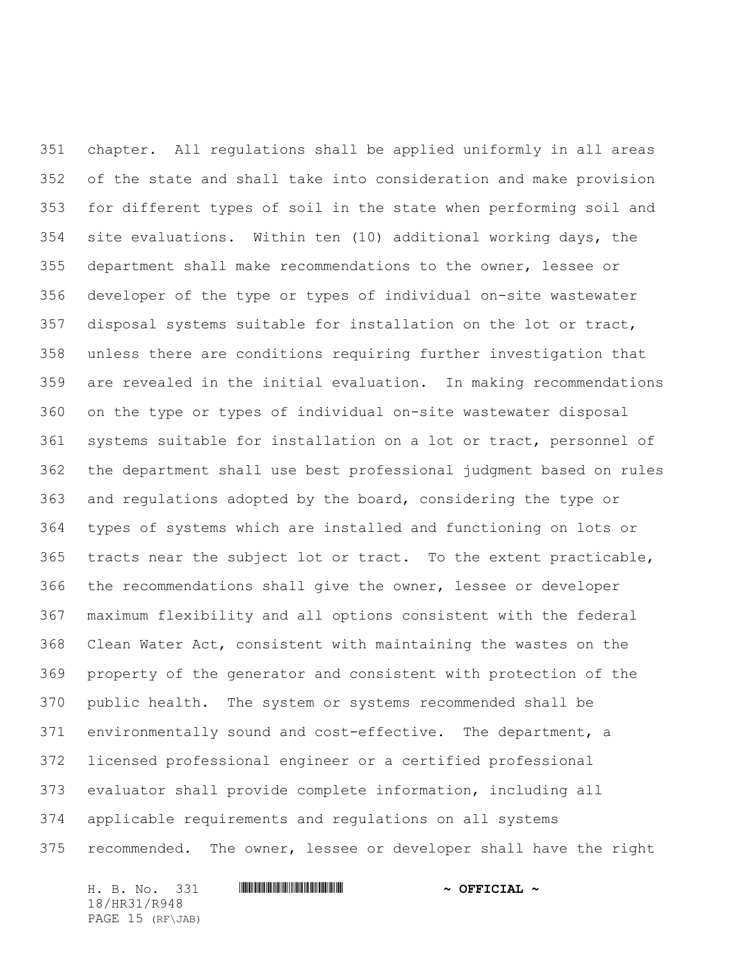chapter. All regulations shall be applied uniformly in all areas of the state and shall take into consideration and make provision for different types of soil in the state when performing soil and site evaluations. Within ten (10) additional working days, the department shall make recommendations to the owner, lessee or developer of the type or types of individual on-site wastewater disposal systems suitable for installation on the lot or tract, unless there are conditions requiring further investigation that are revealed in the initial evaluation. In making recommendations on the type or types of individual on-site wastewater disposal systems suitable for installation on a lot or tract, personnel of the department shall use best professional judgment based on rules and regulations adopted by the board, considering the type or types of systems which are installed and functioning on lots or tracts near the subject lot or tract. To the extent practicable, the recommendations shall give the owner, lessee or developer maximum flexibility and all options consistent with the federal Clean Water Act, consistent with maintaining the wastes on the property of the generator and consistent with protection of the public health. The system or systems recommended shall be environmentally sound and cost-effective. The department, a licensed professional engineer or a certified professional evaluator shall provide complete information, including all applicable requirements and regulations on all systems recommended. The owner, lessee or developer shall have the right

H. B. No. 331 **. AND AND AN ABLE AND AN ABLE AND ADDRESS TO A OFFICIAL ~** 18/HR31/R948 PAGE 15 (RF\JAB)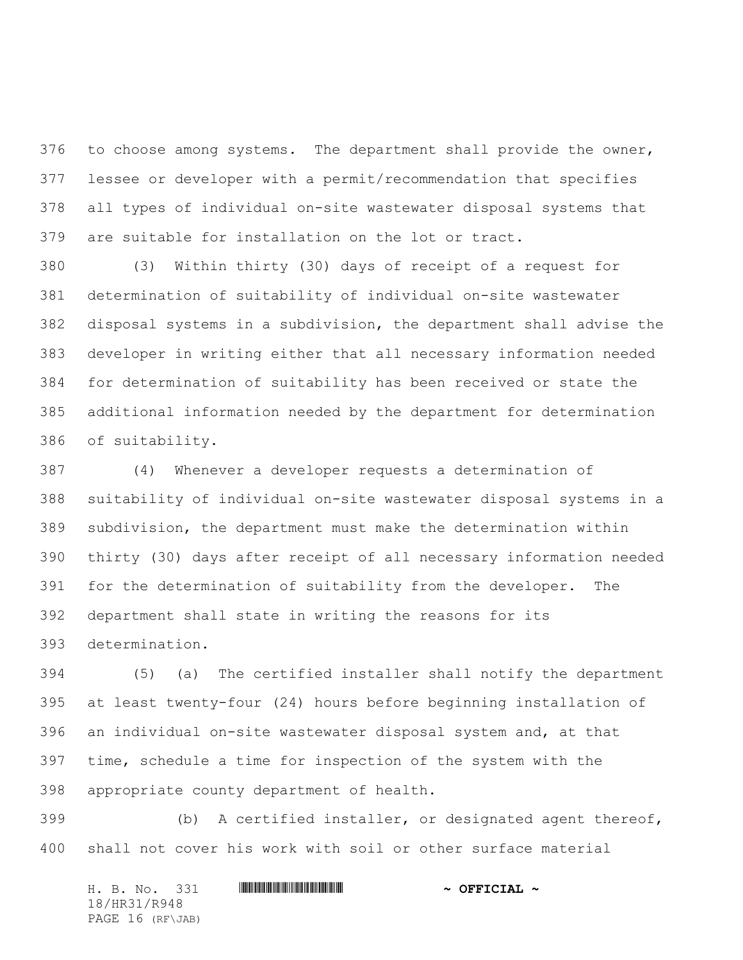376 to choose among systems. The department shall provide the owner, lessee or developer with a permit/recommendation that specifies all types of individual on-site wastewater disposal systems that are suitable for installation on the lot or tract.

 (3) Within thirty (30) days of receipt of a request for determination of suitability of individual on-site wastewater disposal systems in a subdivision, the department shall advise the developer in writing either that all necessary information needed for determination of suitability has been received or state the additional information needed by the department for determination of suitability.

 (4) Whenever a developer requests a determination of suitability of individual on-site wastewater disposal systems in a subdivision, the department must make the determination within thirty (30) days after receipt of all necessary information needed for the determination of suitability from the developer. The department shall state in writing the reasons for its determination.

 (5) (a) The certified installer shall notify the department at least twenty-four (24) hours before beginning installation of an individual on-site wastewater disposal system and, at that time, schedule a time for inspection of the system with the appropriate county department of health.

 (b) A certified installer, or designated agent thereof, shall not cover his work with soil or other surface material

H. B. No. 331 **. AND AND AN ABLE AND AN ABLE AND ADDRESS TO A OFFICIAL ~** 18/HR31/R948 PAGE 16 (RF\JAB)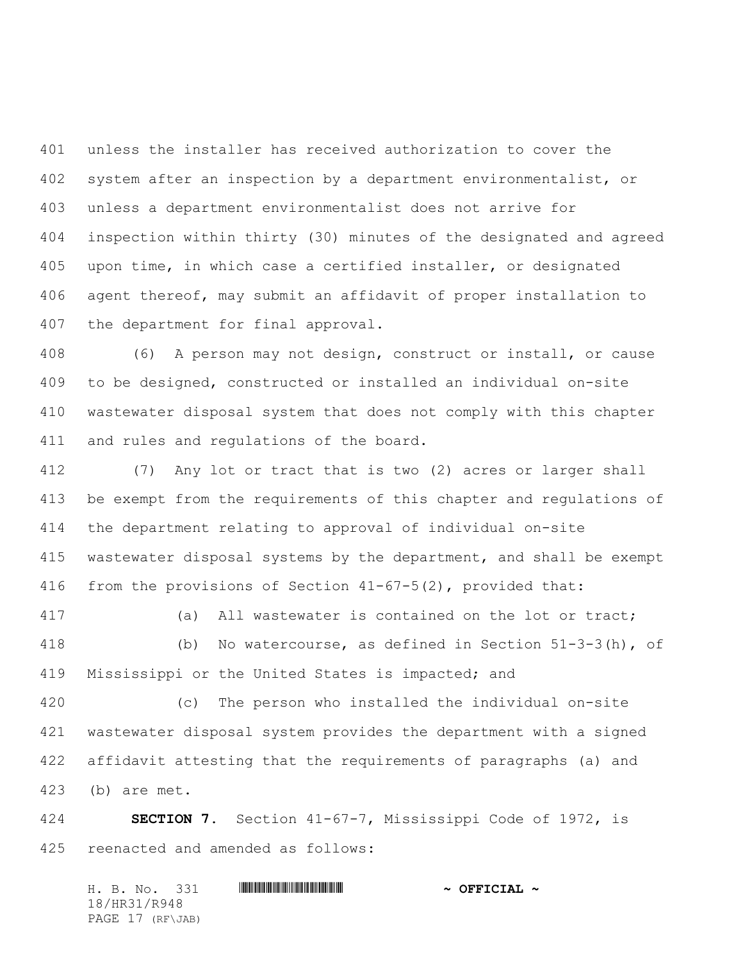unless the installer has received authorization to cover the system after an inspection by a department environmentalist, or unless a department environmentalist does not arrive for inspection within thirty (30) minutes of the designated and agreed upon time, in which case a certified installer, or designated agent thereof, may submit an affidavit of proper installation to the department for final approval.

 (6) A person may not design, construct or install, or cause to be designed, constructed or installed an individual on-site wastewater disposal system that does not comply with this chapter 411 and rules and regulations of the board.

 (7) Any lot or tract that is two (2) acres or larger shall be exempt from the requirements of this chapter and regulations of the department relating to approval of individual on-site wastewater disposal systems by the department, and shall be exempt from the provisions of Section 41-67-5(2), provided that:

 (a) All wastewater is contained on the lot or tract; (b) No watercourse, as defined in Section 51-3-3(h), of Mississippi or the United States is impacted; and

 (c) The person who installed the individual on-site wastewater disposal system provides the department with a signed affidavit attesting that the requirements of paragraphs (a) and (b) are met.

 **SECTION 7.** Section 41-67-7, Mississippi Code of 1972, is reenacted and amended as follows:

H. B. No. 331 \*HR31/R948\* **~ OFFICIAL ~** 18/HR31/R948 PAGE 17 (RF\JAB)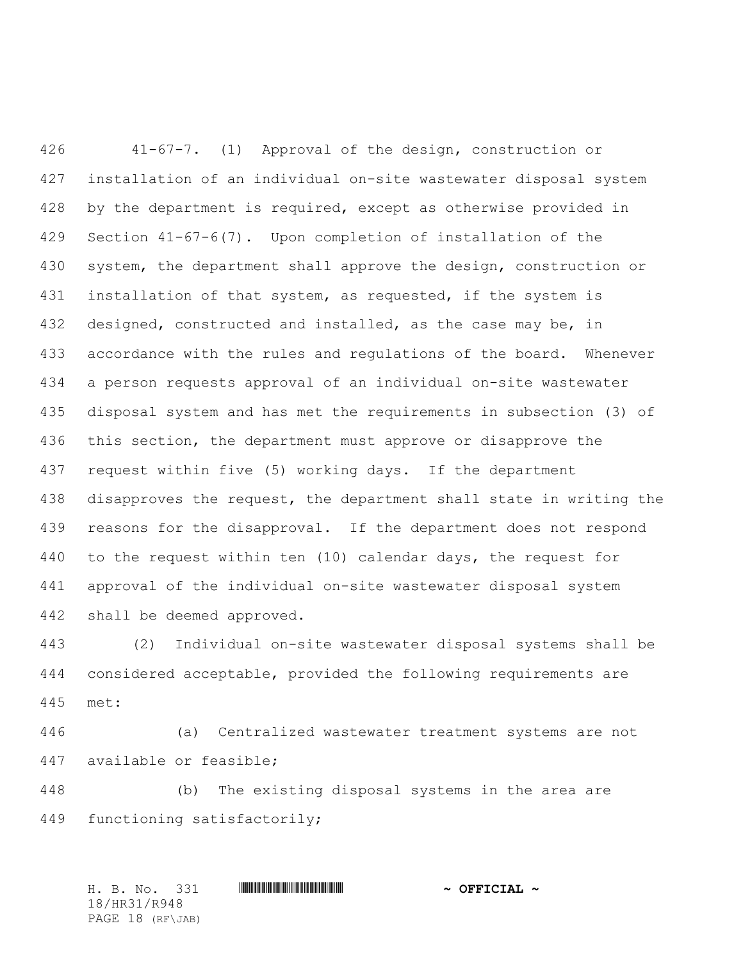41-67-7. (1) Approval of the design, construction or installation of an individual on-site wastewater disposal system by the department is required, except as otherwise provided in Section 41-67-6(7). Upon completion of installation of the system, the department shall approve the design, construction or installation of that system, as requested, if the system is 432 designed, constructed and installed, as the case may be, in accordance with the rules and regulations of the board. Whenever a person requests approval of an individual on-site wastewater disposal system and has met the requirements in subsection (3) of this section, the department must approve or disapprove the request within five (5) working days. If the department disapproves the request, the department shall state in writing the 439 reasons for the disapproval. If the department does not respond to the request within ten (10) calendar days, the request for approval of the individual on-site wastewater disposal system shall be deemed approved.

 (2) Individual on-site wastewater disposal systems shall be considered acceptable, provided the following requirements are met:

 (a) Centralized wastewater treatment systems are not available or feasible;

 (b) The existing disposal systems in the area are functioning satisfactorily;

H. B. No. 331 \*HR31/R948\* **~ OFFICIAL ~** 18/HR31/R948 PAGE 18 (RF\JAB)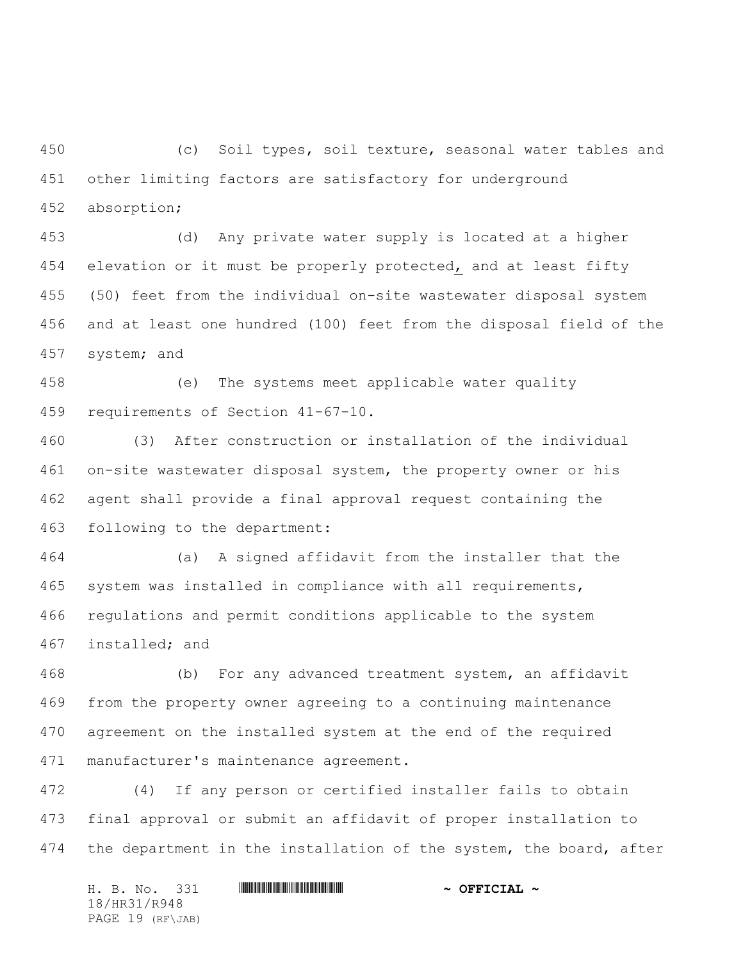(c) Soil types, soil texture, seasonal water tables and other limiting factors are satisfactory for underground absorption;

 (d) Any private water supply is located at a higher elevation or it must be properly protected, and at least fifty (50) feet from the individual on-site wastewater disposal system and at least one hundred (100) feet from the disposal field of the system; and

 (e) The systems meet applicable water quality requirements of Section 41-67-10.

 (3) After construction or installation of the individual on-site wastewater disposal system, the property owner or his agent shall provide a final approval request containing the following to the department:

 (a) A signed affidavit from the installer that the system was installed in compliance with all requirements, regulations and permit conditions applicable to the system installed; and

 (b) For any advanced treatment system, an affidavit from the property owner agreeing to a continuing maintenance agreement on the installed system at the end of the required manufacturer's maintenance agreement.

 (4) If any person or certified installer fails to obtain final approval or submit an affidavit of proper installation to 474 the department in the installation of the system, the board, after

H. B. No. 331 **. AND AND AN ABLE AND AN ABLE AND ADDRESS TO A OFFICIAL ~** 18/HR31/R948 PAGE 19 (RF\JAB)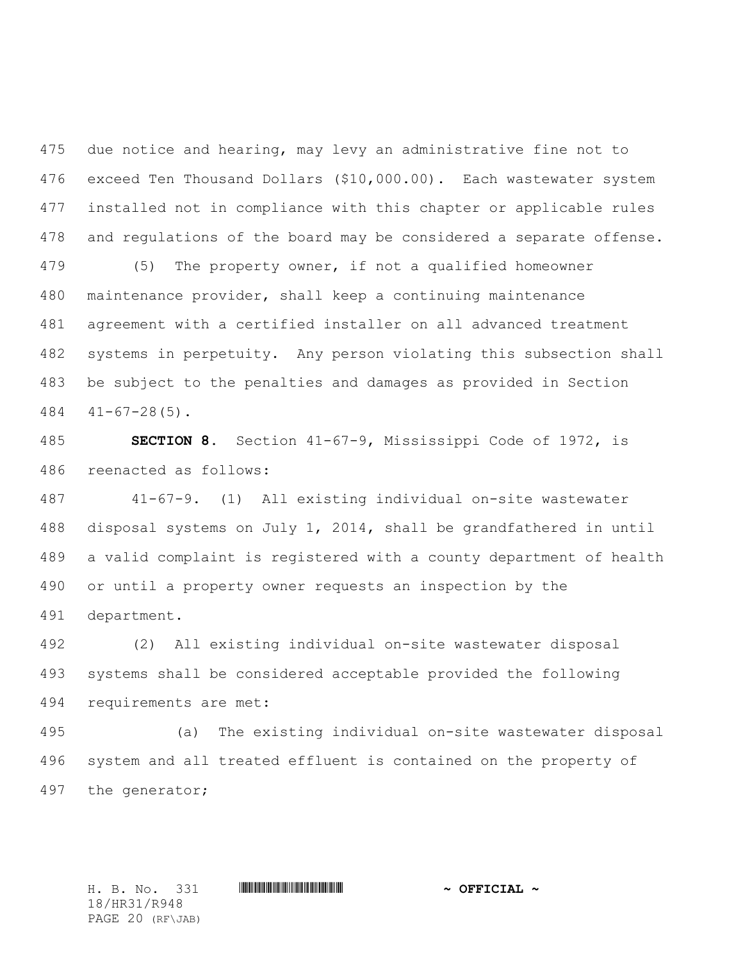due notice and hearing, may levy an administrative fine not to exceed Ten Thousand Dollars (\$10,000.00). Each wastewater system installed not in compliance with this chapter or applicable rules and regulations of the board may be considered a separate offense.

 (5) The property owner, if not a qualified homeowner maintenance provider, shall keep a continuing maintenance agreement with a certified installer on all advanced treatment systems in perpetuity. Any person violating this subsection shall be subject to the penalties and damages as provided in Section  $484 \quad 41 - 67 - 28(5)$ .

 **SECTION 8.** Section 41-67-9, Mississippi Code of 1972, is reenacted as follows:

 41-67-9. (1)All existing individual on-site wastewater disposal systems on July 1, 2014, shall be grandfathered in until a valid complaint is registered with a county department of health or until a property owner requests an inspection by the department.

 (2) All existing individual on-site wastewater disposal systems shall be considered acceptable provided the following requirements are met:

 (a) The existing individual on-site wastewater disposal system and all treated effluent is contained on the property of the generator;

18/HR31/R948 PAGE 20 (RF\JAB)

H. B. No. 331 \*HR31/R948\* **~ OFFICIAL ~**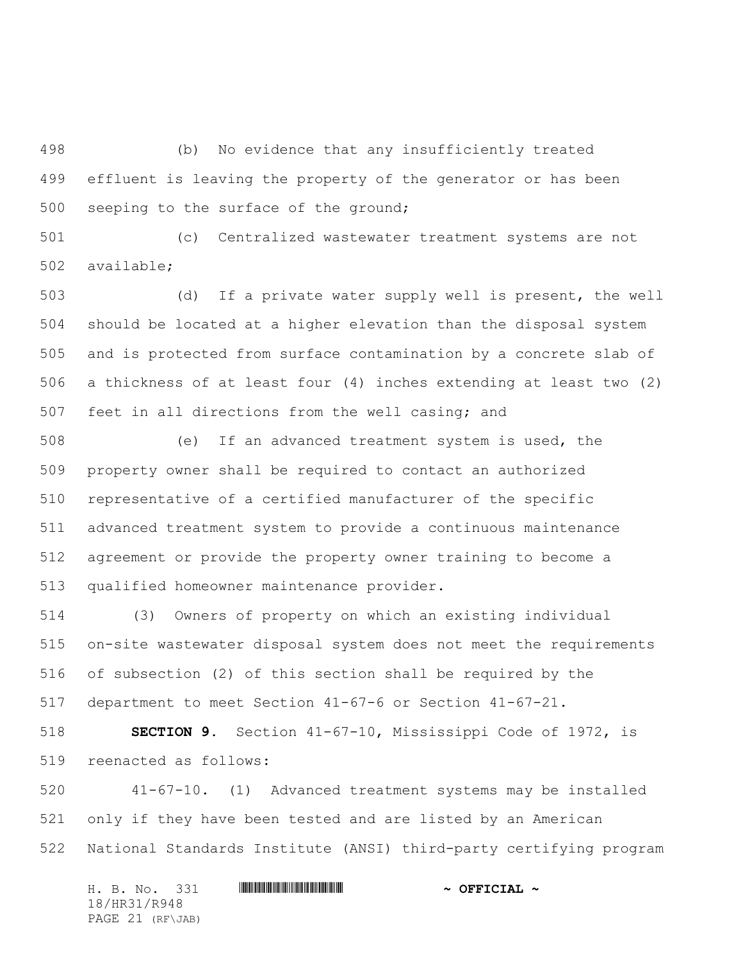(b) No evidence that any insufficiently treated effluent is leaving the property of the generator or has been 500 seeping to the surface of the ground;

 (c) Centralized wastewater treatment systems are not available;

 (d) If a private water supply well is present, the well should be located at a higher elevation than the disposal system and is protected from surface contamination by a concrete slab of a thickness of at least four (4) inches extending at least two (2) feet in all directions from the well casing; and

 (e) If an advanced treatment system is used, the property owner shall be required to contact an authorized representative of a certified manufacturer of the specific advanced treatment system to provide a continuous maintenance agreement or provide the property owner training to become a qualified homeowner maintenance provider.

 (3) Owners of property on which an existing individual on-site wastewater disposal system does not meet the requirements of subsection (2) of this section shall be required by the department to meet Section 41-67-6 or Section 41-67-21.

 **SECTION 9.** Section 41-67-10, Mississippi Code of 1972, is reenacted as follows:

 41-67-10. (1) Advanced treatment systems may be installed only if they have been tested and are listed by an American National Standards Institute (ANSI) third-party certifying program

H. B. No. 331 **HRANGE READERS AND A SECONDLY** 18/HR31/R948 PAGE 21 (RF\JAB)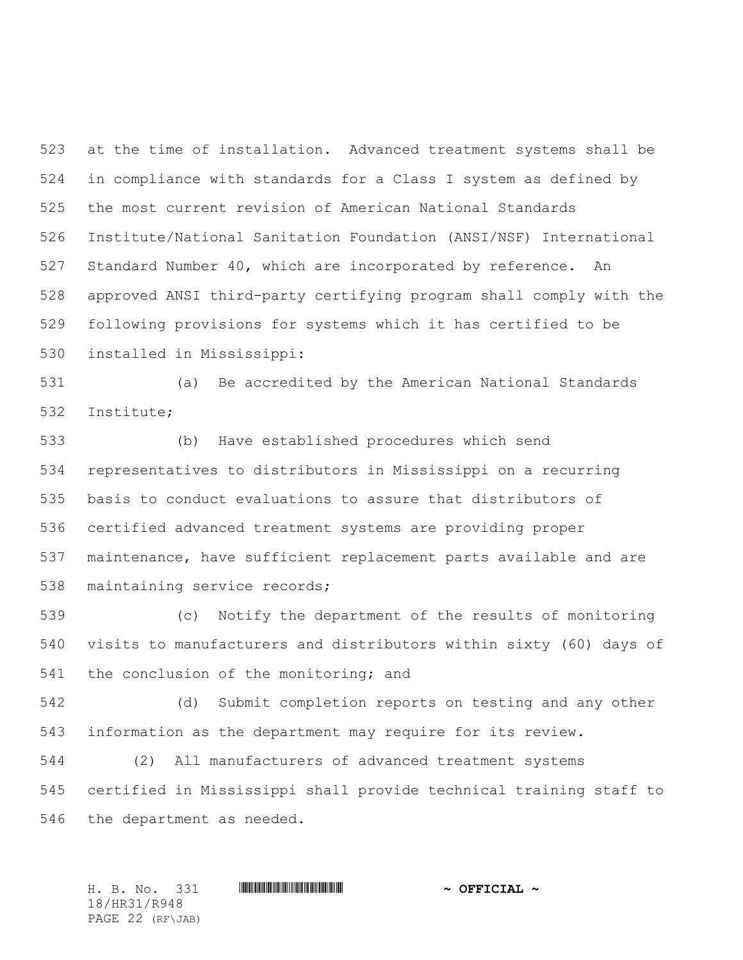at the time of installation. Advanced treatment systems shall be in compliance with standards for a Class I system as defined by the most current revision of American National Standards Institute/National Sanitation Foundation (ANSI/NSF) International Standard Number 40, which are incorporated by reference. An approved ANSI third-party certifying program shall comply with the following provisions for systems which it has certified to be installed in Mississippi:

 (a) Be accredited by the American National Standards Institute;

 (b) Have established procedures which send representatives to distributors in Mississippi on a recurring basis to conduct evaluations to assure that distributors of certified advanced treatment systems are providing proper maintenance, have sufficient replacement parts available and are maintaining service records;

 (c) Notify the department of the results of monitoring visits to manufacturers and distributors within sixty (60) days of 541 the conclusion of the monitoring; and

 (d) Submit completion reports on testing and any other information as the department may require for its review.

 (2) All manufacturers of advanced treatment systems certified in Mississippi shall provide technical training staff to the department as needed.

H. B. No. 331 \*HR31/R948\* **~ OFFICIAL ~** 18/HR31/R948 PAGE 22 (RF\JAB)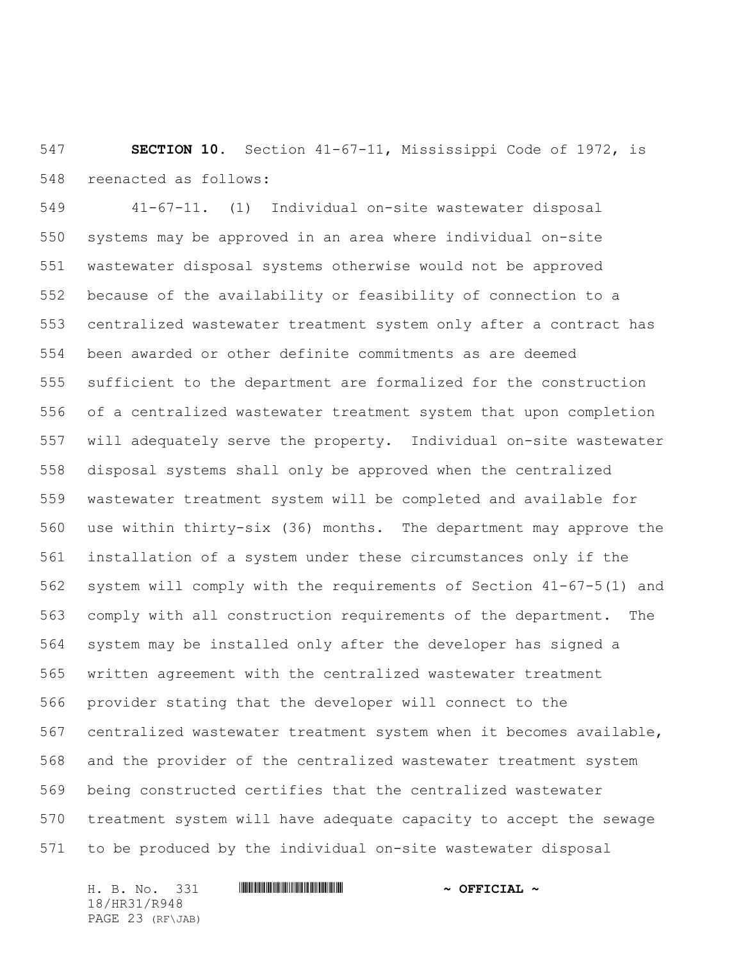**SECTION 10.** Section 41-67-11, Mississippi Code of 1972, is reenacted as follows:

 41-67-11. (1)Individual on-site wastewater disposal systems may be approved in an area where individual on-site wastewater disposal systems otherwise would not be approved because of the availability or feasibility of connection to a centralized wastewater treatment system only after a contract has been awarded or other definite commitments as are deemed sufficient to the department are formalized for the construction of a centralized wastewater treatment system that upon completion will adequately serve the property. Individual on-site wastewater disposal systems shall only be approved when the centralized wastewater treatment system will be completed and available for use within thirty-six (36) months. The department may approve the installation of a system under these circumstances only if the system will comply with the requirements of Section 41-67-5(1) and comply with all construction requirements of the department. The system may be installed only after the developer has signed a written agreement with the centralized wastewater treatment provider stating that the developer will connect to the centralized wastewater treatment system when it becomes available, and the provider of the centralized wastewater treatment system being constructed certifies that the centralized wastewater treatment system will have adequate capacity to accept the sewage to be produced by the individual on-site wastewater disposal

H. B. No. 331 **. AND AND AN ABLE AND AN ABLE AND ADDRESS TO A OFFICIAL ~** 18/HR31/R948 PAGE 23 (RF\JAB)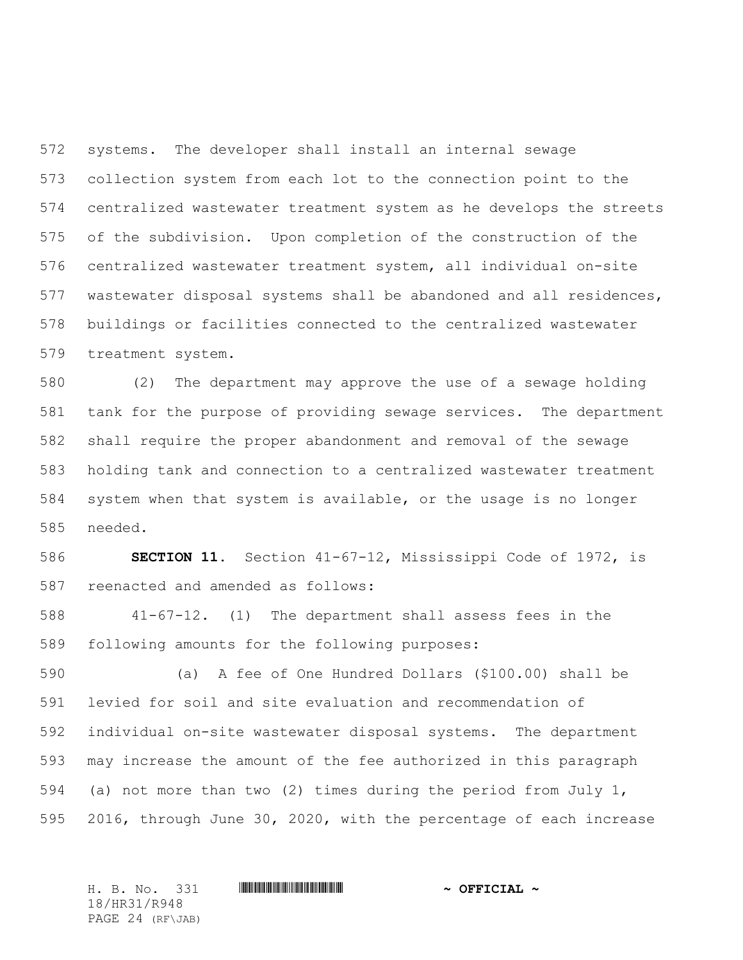systems. The developer shall install an internal sewage collection system from each lot to the connection point to the centralized wastewater treatment system as he develops the streets of the subdivision. Upon completion of the construction of the centralized wastewater treatment system, all individual on-site wastewater disposal systems shall be abandoned and all residences, buildings or facilities connected to the centralized wastewater treatment system.

 (2) The department may approve the use of a sewage holding tank for the purpose of providing sewage services. The department shall require the proper abandonment and removal of the sewage holding tank and connection to a centralized wastewater treatment system when that system is available, or the usage is no longer needed.

 **SECTION 11.** Section 41-67-12, Mississippi Code of 1972, is reenacted and amended as follows:

 41-67-12. (1) The department shall assess fees in the following amounts for the following purposes:

 (a) A fee of One Hundred Dollars (\$100.00) shall be levied for soil and site evaluation and recommendation of individual on-site wastewater disposal systems. The department may increase the amount of the fee authorized in this paragraph (a) not more than two (2) times during the period from July 1, 2016, through June 30, 2020, with the percentage of each increase

H. B. No. 331 \*HR31/R948\* **~ OFFICIAL ~** 18/HR31/R948 PAGE 24 (RF\JAB)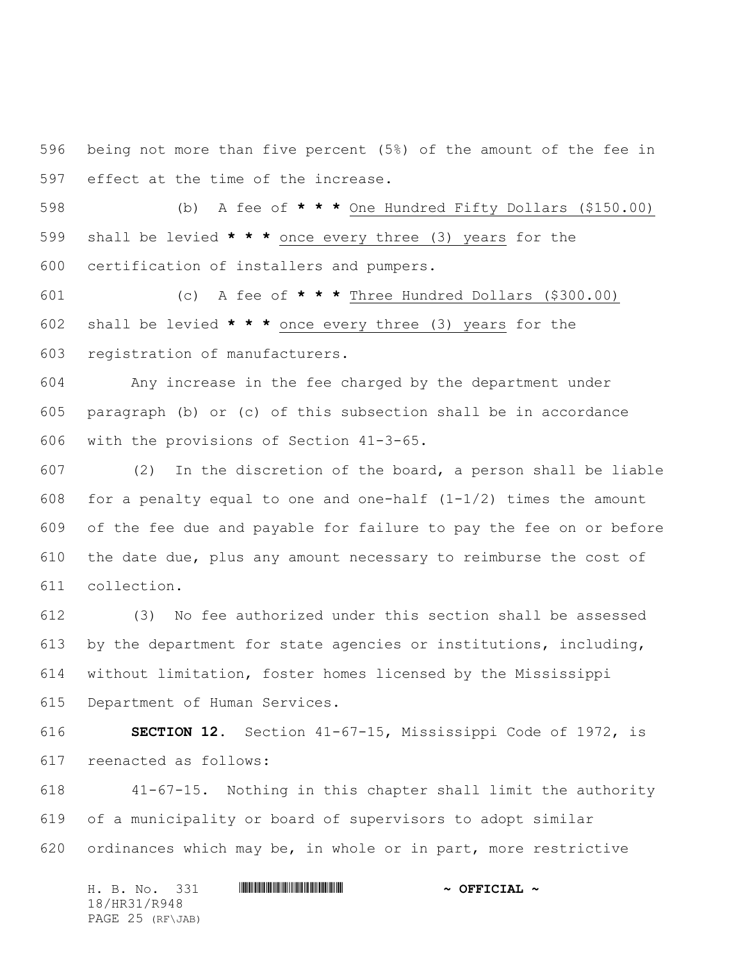being not more than five percent (5%) of the amount of the fee in effect at the time of the increase.

 (b) A fee of **\* \* \*** One Hundred Fifty Dollars (\$150.00) shall be levied **\* \* \*** once every three (3) years for the certification of installers and pumpers.

 (c) A fee of **\* \* \*** Three Hundred Dollars (\$300.00) shall be levied **\* \* \*** once every three (3) years for the registration of manufacturers.

 Any increase in the fee charged by the department under paragraph (b) or (c) of this subsection shall be in accordance with the provisions of Section 41-3-65.

 (2) In the discretion of the board, a person shall be liable 608 for a penalty equal to one and one-half  $(1-1/2)$  times the amount of the fee due and payable for failure to pay the fee on or before the date due, plus any amount necessary to reimburse the cost of collection.

 (3)No fee authorized under this section shall be assessed by the department for state agencies or institutions, including, without limitation, foster homes licensed by the Mississippi Department of Human Services.

 **SECTION 12.** Section 41-67-15, Mississippi Code of 1972, is reenacted as follows:

 41-67-15. Nothing in this chapter shall limit the authority of a municipality or board of supervisors to adopt similar ordinances which may be, in whole or in part, more restrictive

H. B. No. 331 **HRANGE READERS AND A SECONDLY** 18/HR31/R948 PAGE 25 (RF\JAB)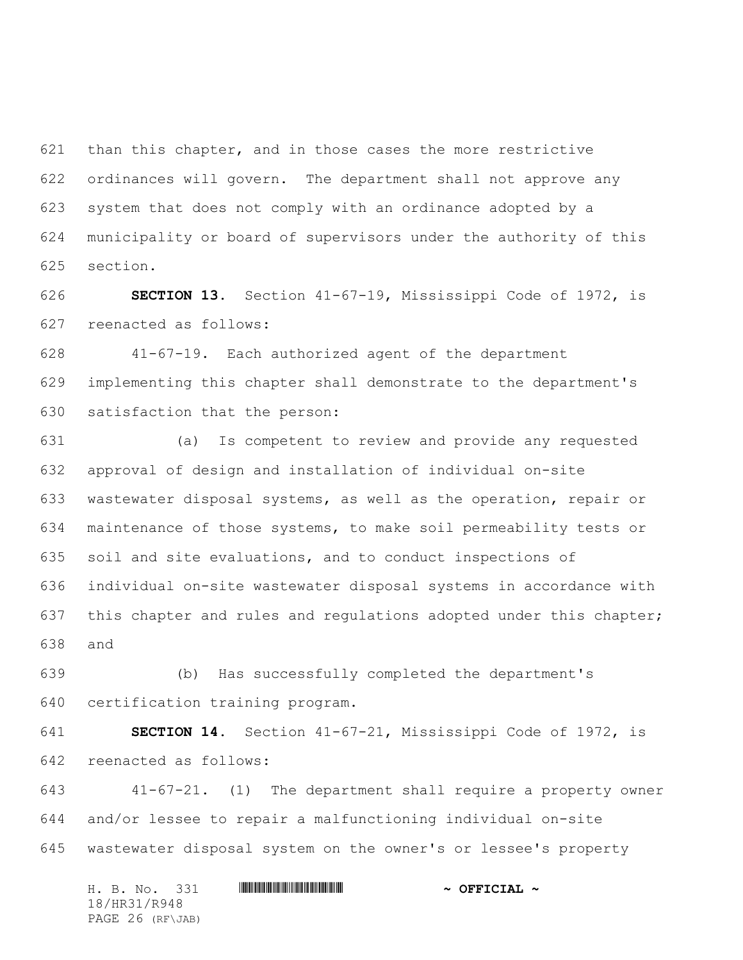than this chapter, and in those cases the more restrictive ordinances will govern. The department shall not approve any system that does not comply with an ordinance adopted by a municipality or board of supervisors under the authority of this section.

 **SECTION 13.** Section 41-67-19, Mississippi Code of 1972, is reenacted as follows:

 41-67-19. Each authorized agent of the department implementing this chapter shall demonstrate to the department's satisfaction that the person:

 (a) Is competent to review and provide any requested approval of design and installation of individual on-site wastewater disposal systems, as well as the operation, repair or maintenance of those systems, to make soil permeability tests or soil and site evaluations, and to conduct inspections of individual on-site wastewater disposal systems in accordance with this chapter and rules and regulations adopted under this chapter; and

 (b) Has successfully completed the department's certification training program.

 **SECTION 14.** Section 41-67-21, Mississippi Code of 1972, is reenacted as follows:

 41-67-21. (1) The department shall require a property owner and/or lessee to repair a malfunctioning individual on-site wastewater disposal system on the owner's or lessee's property

H. B. No. 331 **HRANGE READERS AND A SECONDLY** 18/HR31/R948 PAGE 26 (RF\JAB)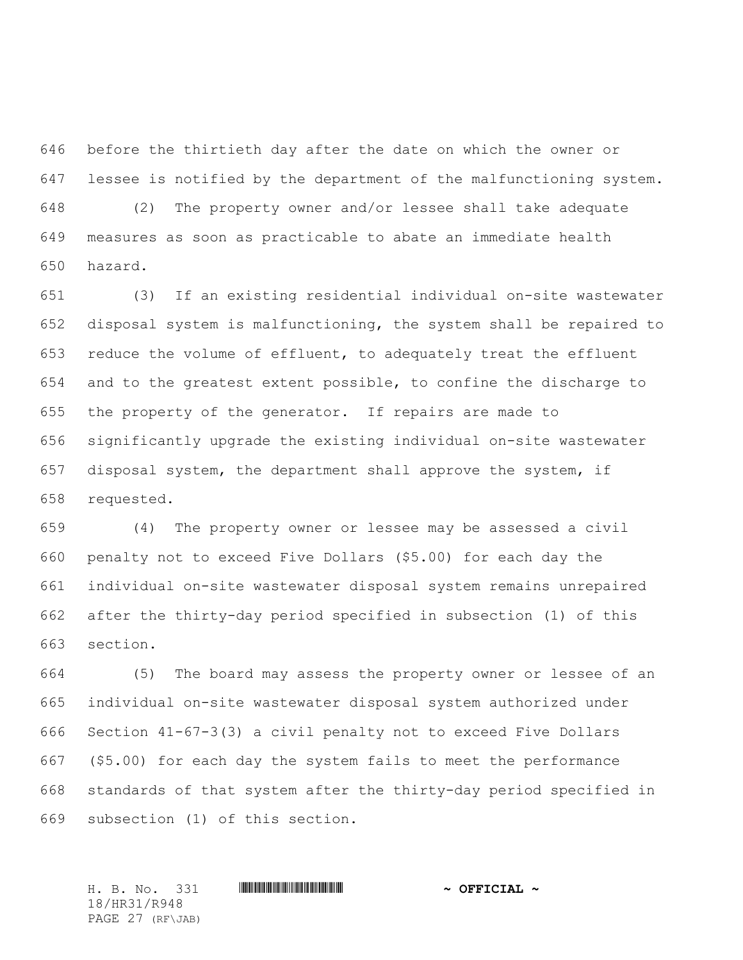before the thirtieth day after the date on which the owner or lessee is notified by the department of the malfunctioning system. (2) The property owner and/or lessee shall take adequate measures as soon as practicable to abate an immediate health hazard.

 (3) If an existing residential individual on-site wastewater disposal system is malfunctioning, the system shall be repaired to reduce the volume of effluent, to adequately treat the effluent and to the greatest extent possible, to confine the discharge to the property of the generator. If repairs are made to significantly upgrade the existing individual on-site wastewater disposal system, the department shall approve the system, if requested.

 (4) The property owner or lessee may be assessed a civil penalty not to exceed Five Dollars (\$5.00) for each day the individual on-site wastewater disposal system remains unrepaired after the thirty-day period specified in subsection (1) of this section.

 (5) The board may assess the property owner or lessee of an individual on-site wastewater disposal system authorized under Section 41-67-3(3) a civil penalty not to exceed Five Dollars (\$5.00) for each day the system fails to meet the performance standards of that system after the thirty-day period specified in subsection (1) of this section.

H. B. No. 331 \*HR31/R948\* **~ OFFICIAL ~** 18/HR31/R948 PAGE 27 (RF\JAB)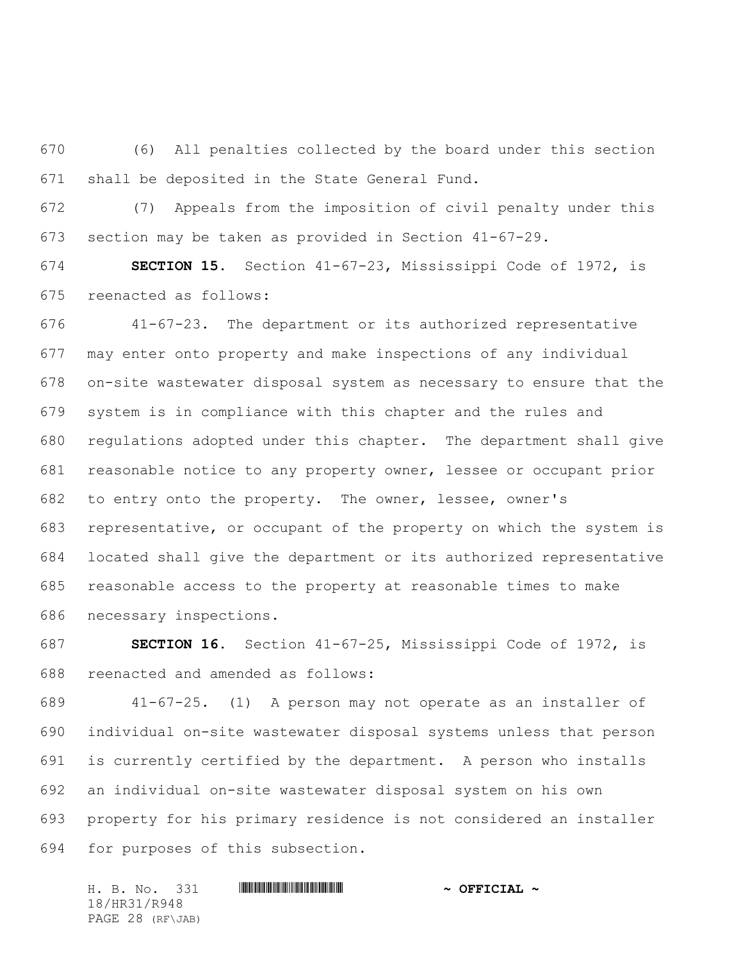(6) All penalties collected by the board under this section shall be deposited in the State General Fund.

 (7) Appeals from the imposition of civil penalty under this section may be taken as provided in Section 41-67-29.

 **SECTION 15.** Section 41-67-23, Mississippi Code of 1972, is reenacted as follows:

 41-67-23. The department or its authorized representative may enter onto property and make inspections of any individual on-site wastewater disposal system as necessary to ensure that the system is in compliance with this chapter and the rules and regulations adopted under this chapter. The department shall give reasonable notice to any property owner, lessee or occupant prior to entry onto the property. The owner, lessee, owner's representative, or occupant of the property on which the system is located shall give the department or its authorized representative reasonable access to the property at reasonable times to make necessary inspections.

 **SECTION 16.** Section 41-67-25, Mississippi Code of 1972, is reenacted and amended as follows:

 41-67-25. (1) A person may not operate as an installer of individual on-site wastewater disposal systems unless that person is currently certified by the department. A person who installs an individual on-site wastewater disposal system on his own property for his primary residence is not considered an installer for purposes of this subsection.

H. B. No. 331 \*HR31/R948\* **~ OFFICIAL ~** 18/HR31/R948 PAGE 28 (RF\JAB)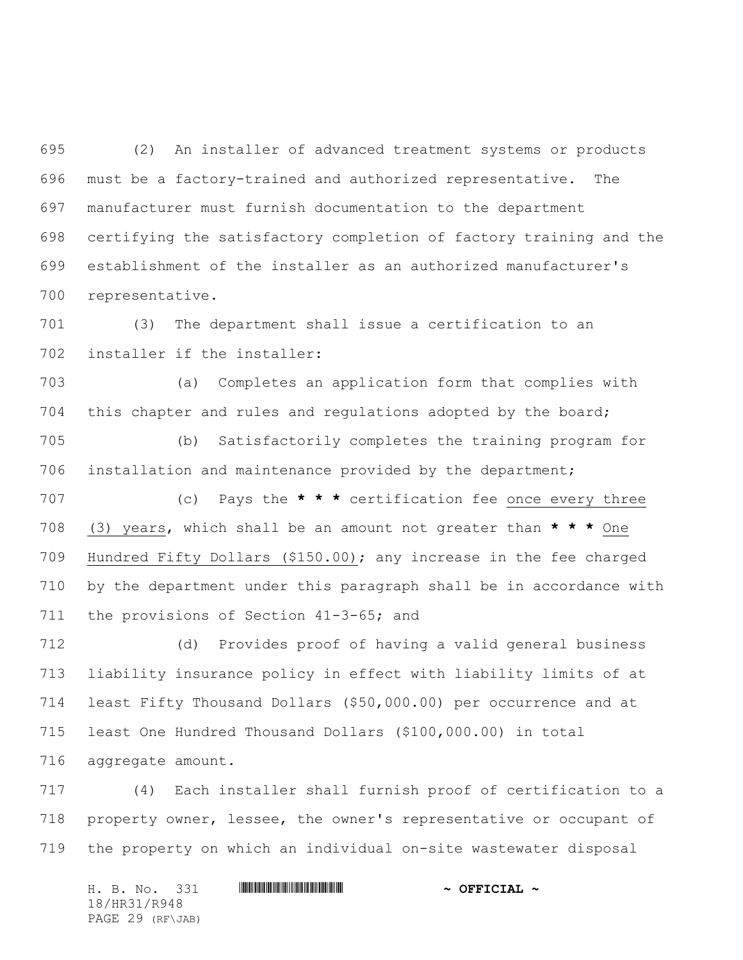(2) An installer of advanced treatment systems or products must be a factory-trained and authorized representative. The manufacturer must furnish documentation to the department certifying the satisfactory completion of factory training and the establishment of the installer as an authorized manufacturer's representative.

 (3) The department shall issue a certification to an installer if the installer:

 (a) Completes an application form that complies with this chapter and rules and regulations adopted by the board;

 (b) Satisfactorily completes the training program for installation and maintenance provided by the department;

 (c) Pays the **\* \* \*** certification fee once every three (3) years, which shall be an amount not greater than **\* \* \*** One Hundred Fifty Dollars (\$150.00); any increase in the fee charged by the department under this paragraph shall be in accordance with 711 the provisions of Section 41-3-65; and

 (d) Provides proof of having a valid general business liability insurance policy in effect with liability limits of at least Fifty Thousand Dollars (\$50,000.00) per occurrence and at least One Hundred Thousand Dollars (\$100,000.00) in total aggregate amount.

 (4) Each installer shall furnish proof of certification to a property owner, lessee, the owner's representative or occupant of the property on which an individual on-site wastewater disposal

H. B. No. 331 **. AND AND AN ABLE AND AN ABLE AND ADDRESS TO A OFFICIAL ~** 18/HR31/R948 PAGE 29 (RF\JAB)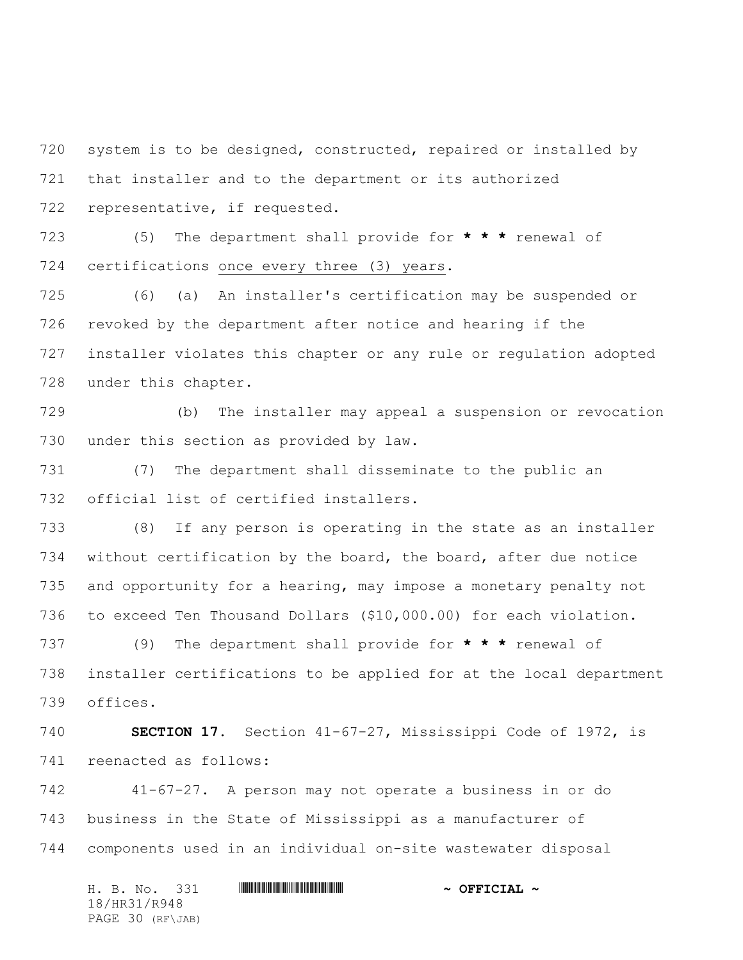system is to be designed, constructed, repaired or installed by that installer and to the department or its authorized representative, if requested.

 (5) The department shall provide for **\* \* \*** renewal of certifications once every three (3) years.

 (6) (a) An installer's certification may be suspended or revoked by the department after notice and hearing if the installer violates this chapter or any rule or regulation adopted under this chapter.

 (b) The installer may appeal a suspension or revocation under this section as provided by law.

 (7) The department shall disseminate to the public an official list of certified installers.

 (8) If any person is operating in the state as an installer without certification by the board, the board, after due notice and opportunity for a hearing, may impose a monetary penalty not to exceed Ten Thousand Dollars (\$10,000.00) for each violation.

 (9) The department shall provide for **\* \* \*** renewal of installer certifications to be applied for at the local department offices.

 **SECTION 17.** Section 41-67-27, Mississippi Code of 1972, is reenacted as follows:

 41-67-27. A person may not operate a business in or do business in the State of Mississippi as a manufacturer of components used in an individual on-site wastewater disposal

H. B. No. 331 **. AND AND AN ABLE AND AN ABLE AND ADDRESS TO A OFFICIAL ~** 18/HR31/R948 PAGE 30 (RF\JAB)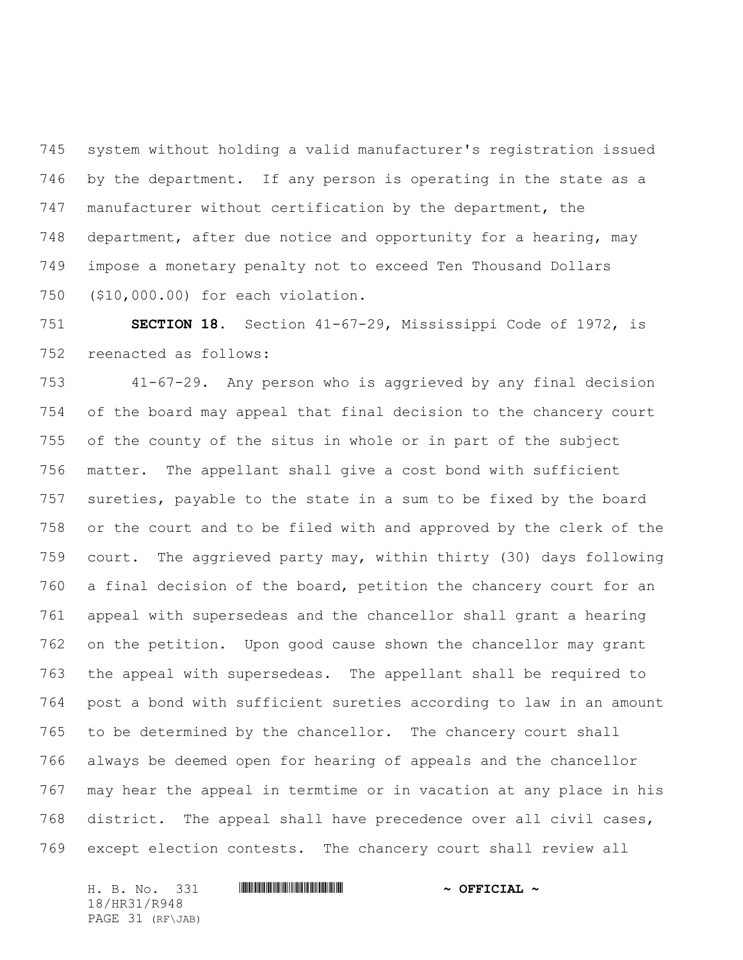system without holding a valid manufacturer's registration issued by the department. If any person is operating in the state as a manufacturer without certification by the department, the department, after due notice and opportunity for a hearing, may impose a monetary penalty not to exceed Ten Thousand Dollars (\$10,000.00) for each violation.

 **SECTION 18.** Section 41-67-29, Mississippi Code of 1972, is reenacted as follows:

 41-67-29. Any person who is aggrieved by any final decision of the board may appeal that final decision to the chancery court of the county of the situs in whole or in part of the subject matter. The appellant shall give a cost bond with sufficient sureties, payable to the state in a sum to be fixed by the board or the court and to be filed with and approved by the clerk of the court. The aggrieved party may, within thirty (30) days following a final decision of the board, petition the chancery court for an appeal with supersedeas and the chancellor shall grant a hearing on the petition. Upon good cause shown the chancellor may grant the appeal with supersedeas. The appellant shall be required to post a bond with sufficient sureties according to law in an amount to be determined by the chancellor. The chancery court shall always be deemed open for hearing of appeals and the chancellor may hear the appeal in termtime or in vacation at any place in his district. The appeal shall have precedence over all civil cases, except election contests. The chancery court shall review all

H. B. No. 331 **. AND AND AN ABLE AND AN ABLE AND ADDRESS TO A OFFICIAL ~** 18/HR31/R948 PAGE 31 (RF\JAB)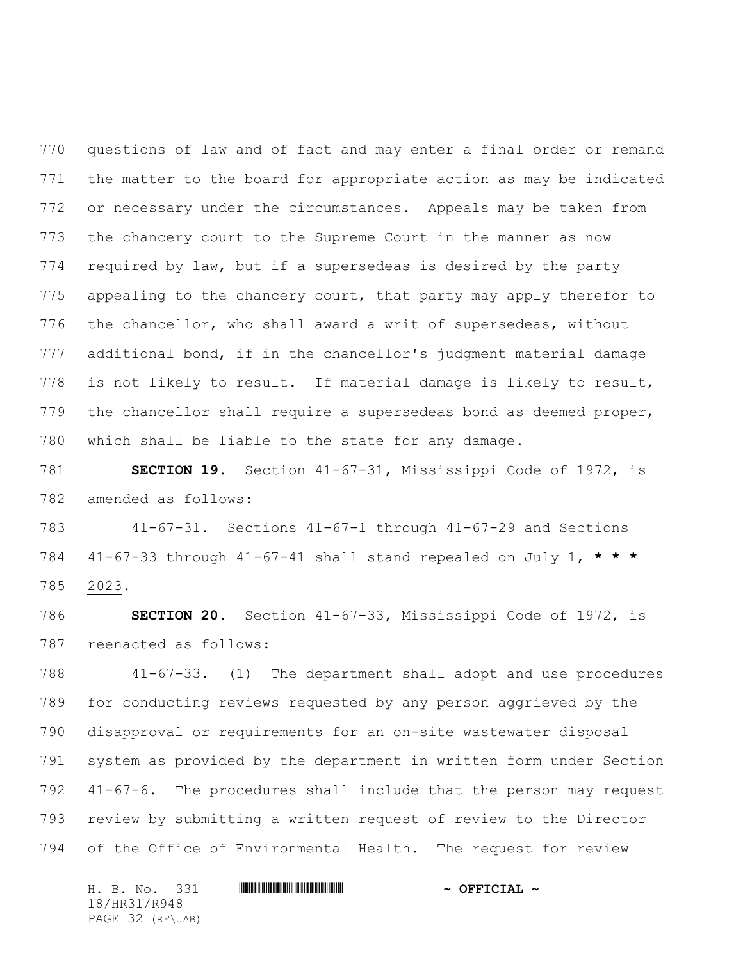questions of law and of fact and may enter a final order or remand the matter to the board for appropriate action as may be indicated or necessary under the circumstances. Appeals may be taken from the chancery court to the Supreme Court in the manner as now required by law, but if a supersedeas is desired by the party 775 appealing to the chancery court, that party may apply therefor to the chancellor, who shall award a writ of supersedeas, without additional bond, if in the chancellor's judgment material damage is not likely to result. If material damage is likely to result, the chancellor shall require a supersedeas bond as deemed proper, which shall be liable to the state for any damage.

 **SECTION 19.** Section 41-67-31, Mississippi Code of 1972, is amended as follows:

 41-67-31. Sections 41-67-1 through 41-67-29 and Sections 41-67-33 through 41-67-41 shall stand repealed on July 1, **\* \* \*** 2023.

 **SECTION 20.** Section 41-67-33, Mississippi Code of 1972, is reenacted as follows:

 41-67-33. (1) The department shall adopt and use procedures for conducting reviews requested by any person aggrieved by the disapproval or requirements for an on-site wastewater disposal system as provided by the department in written form under Section 41-67-6. The procedures shall include that the person may request review by submitting a written request of review to the Director of the Office of Environmental Health. The request for review

H. B. No. 331 **HRANGE READERS AND A SECONDLY** 18/HR31/R948 PAGE 32 (RF\JAB)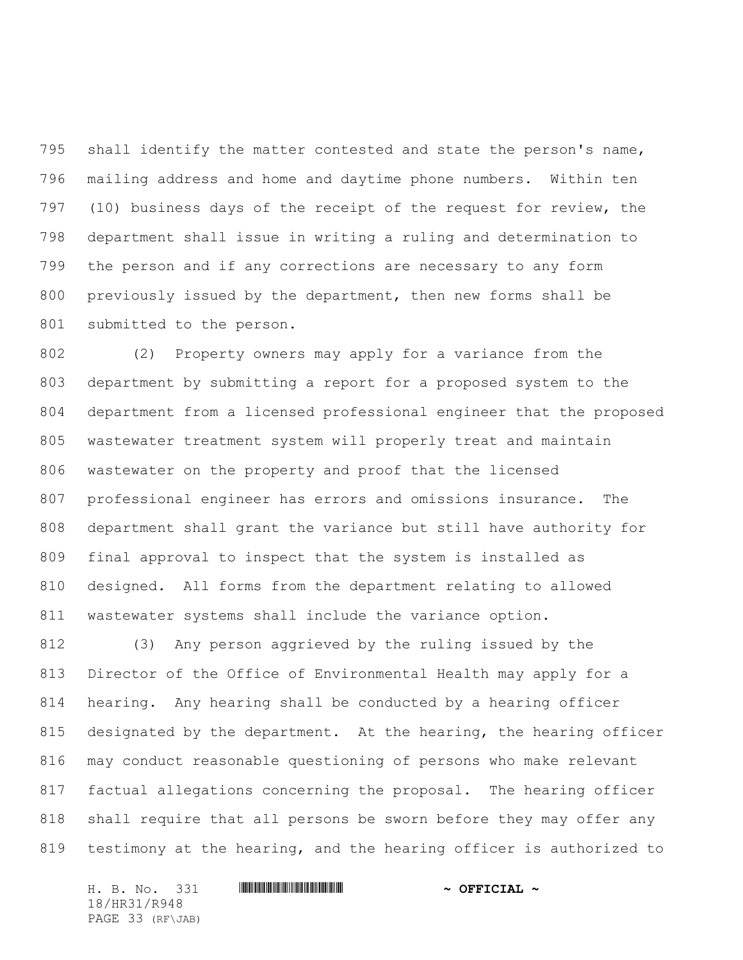shall identify the matter contested and state the person's name, mailing address and home and daytime phone numbers. Within ten (10) business days of the receipt of the request for review, the department shall issue in writing a ruling and determination to the person and if any corrections are necessary to any form previously issued by the department, then new forms shall be submitted to the person.

 (2) Property owners may apply for a variance from the department by submitting a report for a proposed system to the department from a licensed professional engineer that the proposed wastewater treatment system will properly treat and maintain wastewater on the property and proof that the licensed professional engineer has errors and omissions insurance. The department shall grant the variance but still have authority for final approval to inspect that the system is installed as designed. All forms from the department relating to allowed 811 wastewater systems shall include the variance option.

 (3) Any person aggrieved by the ruling issued by the Director of the Office of Environmental Health may apply for a hearing. Any hearing shall be conducted by a hearing officer designated by the department. At the hearing, the hearing officer may conduct reasonable questioning of persons who make relevant factual allegations concerning the proposal. The hearing officer shall require that all persons be sworn before they may offer any testimony at the hearing, and the hearing officer is authorized to

H. B. No. 331 **. AND AND AN ABLE AND AN ABLE AND ADDRESS TO A OFFICIAL ~** 18/HR31/R948 PAGE 33 (RF\JAB)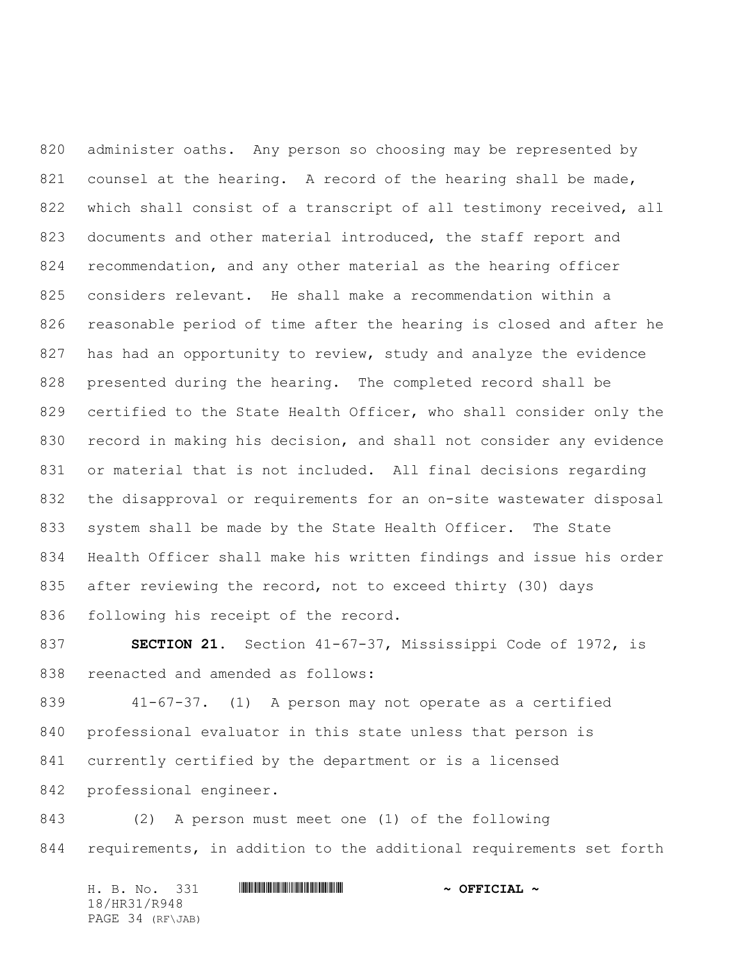administer oaths. Any person so choosing may be represented by 821 counsel at the hearing. A record of the hearing shall be made, which shall consist of a transcript of all testimony received, all documents and other material introduced, the staff report and recommendation, and any other material as the hearing officer considers relevant. He shall make a recommendation within a reasonable period of time after the hearing is closed and after he 827 has had an opportunity to review, study and analyze the evidence presented during the hearing. The completed record shall be certified to the State Health Officer, who shall consider only the record in making his decision, and shall not consider any evidence or material that is not included. All final decisions regarding the disapproval or requirements for an on-site wastewater disposal system shall be made by the State Health Officer. The State Health Officer shall make his written findings and issue his order 835 after reviewing the record, not to exceed thirty (30) days following his receipt of the record.

 **SECTION 21.** Section 41-67-37, Mississippi Code of 1972, is reenacted and amended as follows:

 41-67-37. (1) A person may not operate as a certified professional evaluator in this state unless that person is currently certified by the department or is a licensed professional engineer.

 (2) A person must meet one (1) of the following requirements, in addition to the additional requirements set forth

H. B. No. 331 **HRANGE READERS AND A SECONDLY** 18/HR31/R948 PAGE 34 (RF\JAB)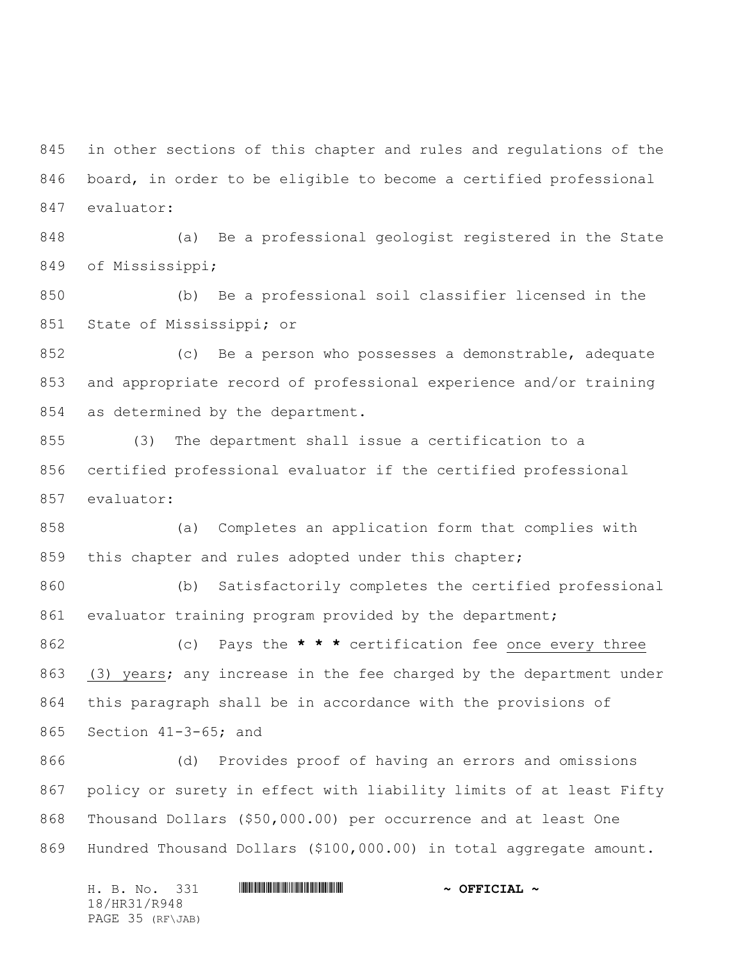in other sections of this chapter and rules and regulations of the board, in order to be eligible to become a certified professional evaluator:

 (a) Be a professional geologist registered in the State of Mississippi;

 (b) Be a professional soil classifier licensed in the State of Mississippi; or

 (c) Be a person who possesses a demonstrable, adequate and appropriate record of professional experience and/or training as determined by the department.

 (3) The department shall issue a certification to a certified professional evaluator if the certified professional evaluator:

 (a) Completes an application form that complies with 859 this chapter and rules adopted under this chapter;

 (b) Satisfactorily completes the certified professional evaluator training program provided by the department;

 (c) Pays the **\* \* \*** certification fee once every three (3) years; any increase in the fee charged by the department under this paragraph shall be in accordance with the provisions of Section 41-3-65; and

 (d) Provides proof of having an errors and omissions policy or surety in effect with liability limits of at least Fifty Thousand Dollars (\$50,000.00) per occurrence and at least One Hundred Thousand Dollars (\$100,000.00) in total aggregate amount.

H. B. No. 331 **. AND AND AN ABLE AND AN ABLE AND ADDRESS TO A OFFICIAL ~** 18/HR31/R948 PAGE 35 (RF\JAB)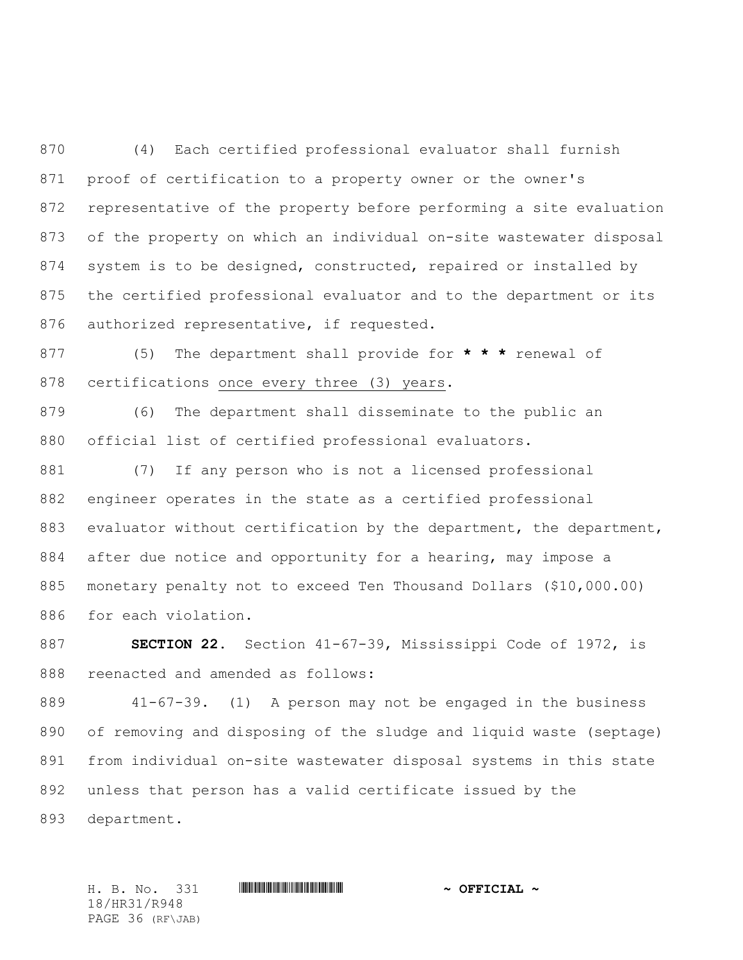(4) Each certified professional evaluator shall furnish proof of certification to a property owner or the owner's representative of the property before performing a site evaluation of the property on which an individual on-site wastewater disposal system is to be designed, constructed, repaired or installed by the certified professional evaluator and to the department or its authorized representative, if requested.

 (5) The department shall provide for **\* \* \*** renewal of certifications once every three (3) years.

 (6) The department shall disseminate to the public an official list of certified professional evaluators.

 (7) If any person who is not a licensed professional engineer operates in the state as a certified professional evaluator without certification by the department, the department, after due notice and opportunity for a hearing, may impose a monetary penalty not to exceed Ten Thousand Dollars (\$10,000.00) for each violation.

 **SECTION 22.** Section 41-67-39, Mississippi Code of 1972, is reenacted and amended as follows:

 41-67-39. (1) A person may not be engaged in the business of removing and disposing of the sludge and liquid waste (septage) from individual on-site wastewater disposal systems in this state unless that person has a valid certificate issued by the

department.

H. B. No. 331 \*HR31/R948\* **~ OFFICIAL ~** 18/HR31/R948 PAGE 36 (RF\JAB)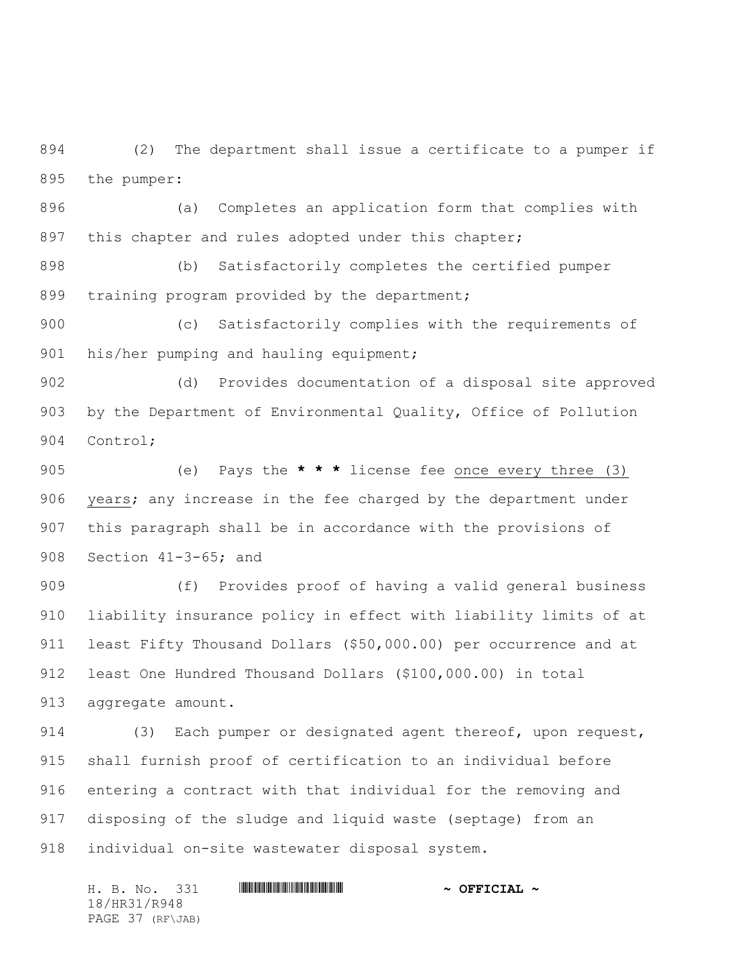(2) The department shall issue a certificate to a pumper if the pumper:

 (a) Completes an application form that complies with 897 this chapter and rules adopted under this chapter;

 (b) Satisfactorily completes the certified pumper 899 training program provided by the department;

 (c) Satisfactorily complies with the requirements of 901 his/her pumping and hauling equipment;

 (d) Provides documentation of a disposal site approved by the Department of Environmental Quality, Office of Pollution Control;

 (e) Pays the **\* \* \*** license fee once every three (3) years; any increase in the fee charged by the department under this paragraph shall be in accordance with the provisions of Section 41-3-65; and

 (f) Provides proof of having a valid general business liability insurance policy in effect with liability limits of at least Fifty Thousand Dollars (\$50,000.00) per occurrence and at least One Hundred Thousand Dollars (\$100,000.00) in total aggregate amount.

 (3) Each pumper or designated agent thereof, upon request, shall furnish proof of certification to an individual before entering a contract with that individual for the removing and disposing of the sludge and liquid waste (septage) from an individual on-site wastewater disposal system.

H. B. No. 331 **HRANGE READERS AND A SECONDLY** 18/HR31/R948 PAGE 37 (RF\JAB)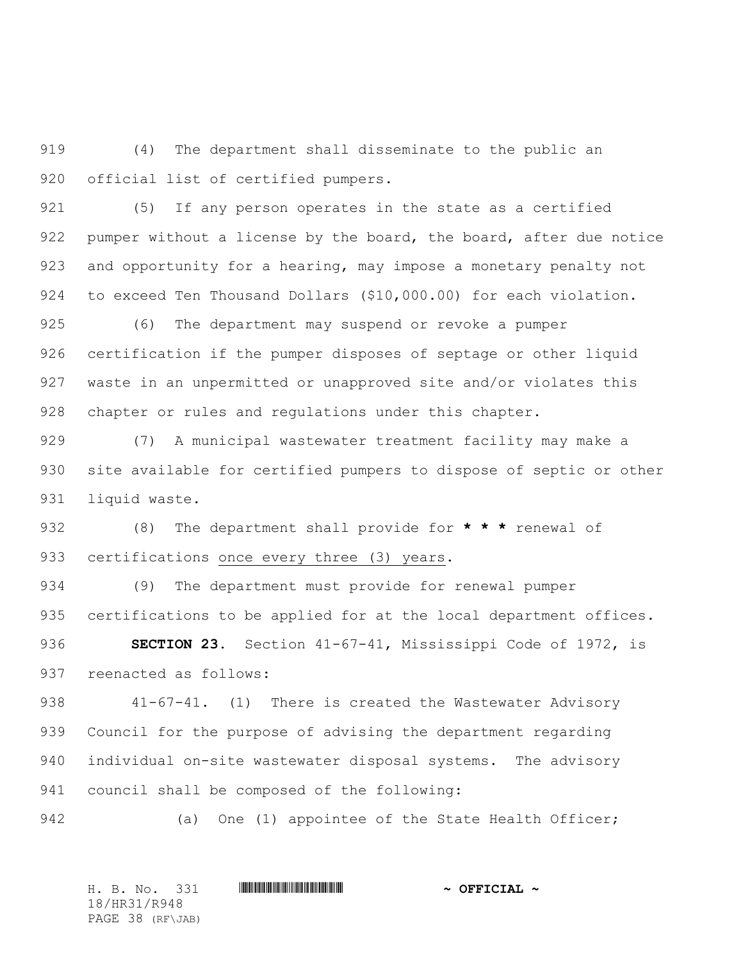(4) The department shall disseminate to the public an official list of certified pumpers.

 (5) If any person operates in the state as a certified 922 pumper without a license by the board, the board, after due notice 923 and opportunity for a hearing, may impose a monetary penalty not to exceed Ten Thousand Dollars (\$10,000.00) for each violation.

 (6) The department may suspend or revoke a pumper certification if the pumper disposes of septage or other liquid waste in an unpermitted or unapproved site and/or violates this chapter or rules and regulations under this chapter.

 (7) A municipal wastewater treatment facility may make a site available for certified pumpers to dispose of septic or other liquid waste.

 (8) The department shall provide for **\* \* \*** renewal of 933 certifications once every three (3) years.

 (9)The department must provide for renewal pumper 935 certifications to be applied for at the local department offices.

 **SECTION 23.** Section 41-67-41, Mississippi Code of 1972, is reenacted as follows:

 41-67-41.(1) There is created the Wastewater Advisory Council for the purpose of advising the department regarding individual on-site wastewater disposal systems. The advisory council shall be composed of the following:

942 (a) One (1) appointee of the State Health Officer;

H. B. No. 331 \*HR31/R948\* **~ OFFICIAL ~** 18/HR31/R948 PAGE 38 (RF\JAB)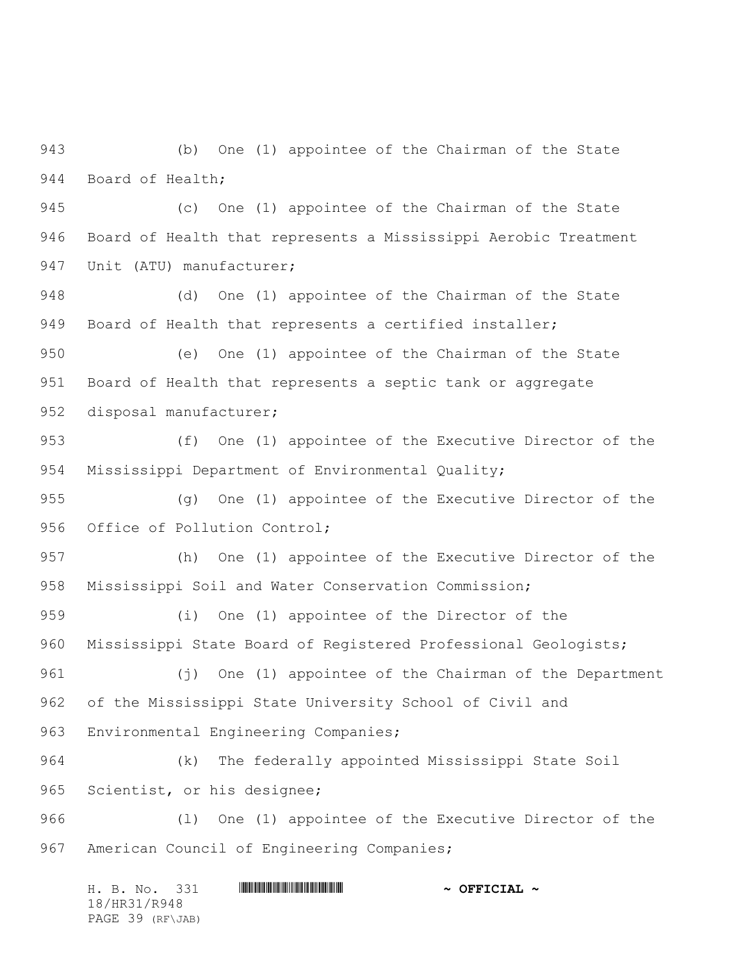(b) One (1) appointee of the Chairman of the State Board of Health;

 (c) One (1) appointee of the Chairman of the State Board of Health that represents a Mississippi Aerobic Treatment 947 Unit (ATU) manufacturer;

 (d) One (1) appointee of the Chairman of the State Board of Health that represents a certified installer;

 (e) One (1) appointee of the Chairman of the State Board of Health that represents a septic tank or aggregate disposal manufacturer;

 (f) One (1) appointee of the Executive Director of the Mississippi Department of Environmental Quality;

 (g) One (1) appointee of the Executive Director of the 956 Office of Pollution Control;

 (h) One (1) appointee of the Executive Director of the Mississippi Soil and Water Conservation Commission;

 (i) One (1) appointee of the Director of the Mississippi State Board of Registered Professional Geologists;

 (j) One (1) appointee of the Chairman of the Department of the Mississippi State University School of Civil and Environmental Engineering Companies;

 (k) The federally appointed Mississippi State Soil Scientist, or his designee;

 (l) One (1) appointee of the Executive Director of the American Council of Engineering Companies;

H. B. No. 331 **HRANGE READERS AND A SECONDLY** 18/HR31/R948 PAGE 39 (RF\JAB)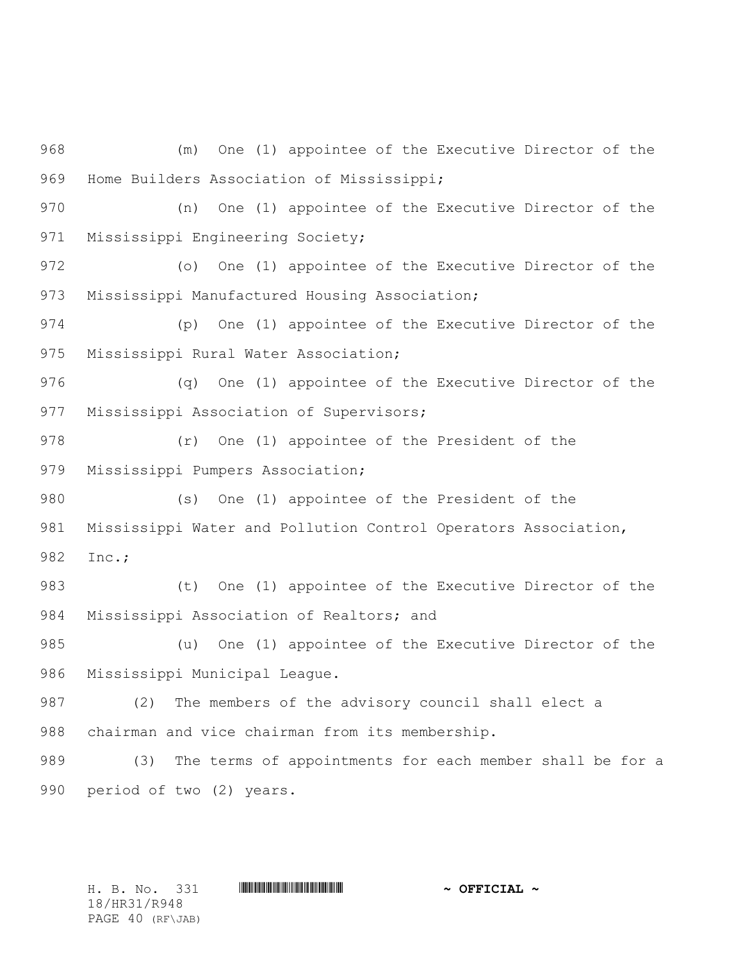(m) One (1) appointee of the Executive Director of the Home Builders Association of Mississippi; (n) One (1) appointee of the Executive Director of the Mississippi Engineering Society; (o) One (1) appointee of the Executive Director of the Mississippi Manufactured Housing Association; (p) One (1) appointee of the Executive Director of the Mississippi Rural Water Association; (q) One (1) appointee of the Executive Director of the Mississippi Association of Supervisors; (r) One (1) appointee of the President of the Mississippi Pumpers Association; (s) One (1) appointee of the President of the Mississippi Water and Pollution Control Operators Association, Inc.; (t) One (1) appointee of the Executive Director of the Mississippi Association of Realtors; and (u) One (1) appointee of the Executive Director of the Mississippi Municipal League. (2) The members of the advisory council shall elect a chairman and vice chairman from its membership. (3) The terms of appointments for each member shall be for a period of two (2) years.

H. B. No. 331 **HRANGE READER AND A OFFICIAL ~** 18/HR31/R948 PAGE 40 (RF\JAB)